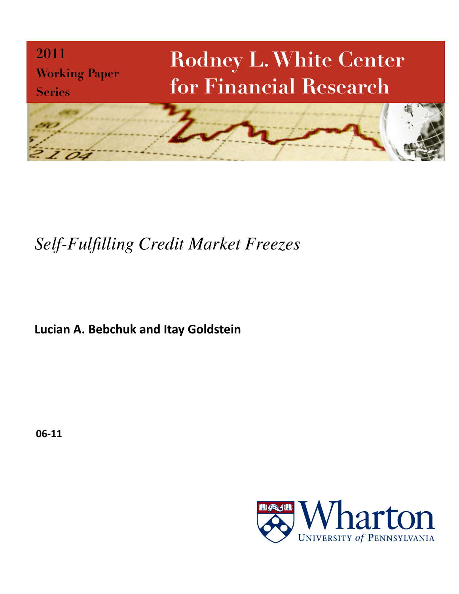

# *Self-Fulfilling Credit Market Freezes*

**Lucian A. Bebchuk and Itay Goldstein** 

**06711**

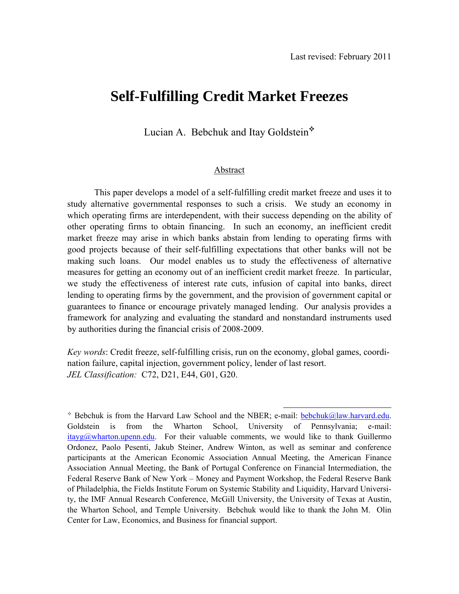# **Self-Fulfilling Credit Market Freezes**

Lucian A. Bebchuk and Itay Goldstein $\text{\textdegree}$ 

#### Abstract

This paper develops a model of a self-fulfilling credit market freeze and uses it to study alternative governmental responses to such a crisis. We study an economy in which operating firms are interdependent, with their success depending on the ability of other operating firms to obtain financing. In such an economy, an inefficient credit market freeze may arise in which banks abstain from lending to operating firms with good projects because of their self-fulfilling expectations that other banks will not be making such loans. Our model enables us to study the effectiveness of alternative measures for getting an economy out of an inefficient credit market freeze. In particular, we study the effectiveness of interest rate cuts, infusion of capital into banks, direct lending to operating firms by the government, and the provision of government capital or guarantees to finance or encourage privately managed lending. Our analysis provides a framework for analyzing and evaluating the standard and nonstandard instruments used by authorities during the financial crisis of 2008-2009.

*Key words*: Credit freeze, self-fulfilling crisis, run on the economy, global games, coordination failure, capital injection, government policy, lender of last resort. *JEL Classification:* C72, D21, E44, G01, G20.

l

 $\gamma$  Bebchuk is from the Harvard Law School and the NBER; e-mail: bebchuk@law.harvard.edu. Goldstein is from the Wharton School, University of Pennsylvania; e-mail:  $i$ tayg@wharton.upenn.edu. For their valuable comments, we would like to thank Guillermo Ordonez, Paolo Pesenti, Jakub Steiner, Andrew Winton, as well as seminar and conference participants at the American Economic Association Annual Meeting, the American Finance Association Annual Meeting, the Bank of Portugal Conference on Financial Intermediation, the Federal Reserve Bank of New York – Money and Payment Workshop, the Federal Reserve Bank of Philadelphia, the Fields Institute Forum on Systemic Stability and Liquidity, Harvard University, the IMF Annual Research Conference, McGill University, the University of Texas at Austin, the Wharton School, and Temple University. Bebchuk would like to thank the John M. Olin Center for Law, Economics, and Business for financial support.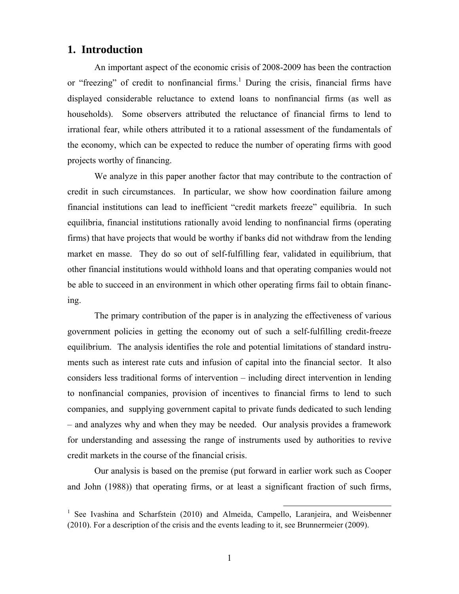# **1. Introduction**

An important aspect of the economic crisis of 2008-2009 has been the contraction or "freezing" of credit to nonfinancial firms.<sup>1</sup> During the crisis, financial firms have displayed considerable reluctance to extend loans to nonfinancial firms (as well as households). Some observers attributed the reluctance of financial firms to lend to irrational fear, while others attributed it to a rational assessment of the fundamentals of the economy, which can be expected to reduce the number of operating firms with good projects worthy of financing.

We analyze in this paper another factor that may contribute to the contraction of credit in such circumstances. In particular, we show how coordination failure among financial institutions can lead to inefficient "credit markets freeze" equilibria. In such equilibria, financial institutions rationally avoid lending to nonfinancial firms (operating firms) that have projects that would be worthy if banks did not withdraw from the lending market en masse. They do so out of self-fulfilling fear, validated in equilibrium, that other financial institutions would withhold loans and that operating companies would not be able to succeed in an environment in which other operating firms fail to obtain financing.

The primary contribution of the paper is in analyzing the effectiveness of various government policies in getting the economy out of such a self-fulfilling credit-freeze equilibrium. The analysis identifies the role and potential limitations of standard instruments such as interest rate cuts and infusion of capital into the financial sector. It also considers less traditional forms of intervention – including direct intervention in lending to nonfinancial companies, provision of incentives to financial firms to lend to such companies, and supplying government capital to private funds dedicated to such lending – and analyzes why and when they may be needed. Our analysis provides a framework for understanding and assessing the range of instruments used by authorities to revive credit markets in the course of the financial crisis.

 Our analysis is based on the premise (put forward in earlier work such as Cooper and John (1988)) that operating firms, or at least a significant fraction of such firms,

<sup>&</sup>lt;sup>1</sup> See Ivashina and Scharfstein (2010) and Almeida, Campello, Laranjeira, and Weisbenner (2010). For a description of the crisis and the events leading to it, see Brunnermeier (2009).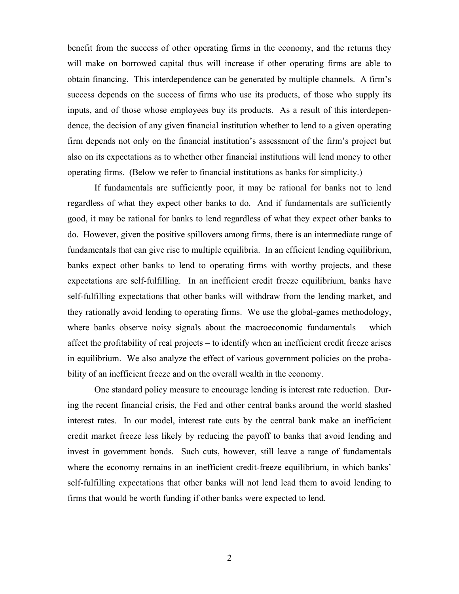benefit from the success of other operating firms in the economy, and the returns they will make on borrowed capital thus will increase if other operating firms are able to obtain financing. This interdependence can be generated by multiple channels. A firm's success depends on the success of firms who use its products, of those who supply its inputs, and of those whose employees buy its products. As a result of this interdependence, the decision of any given financial institution whether to lend to a given operating firm depends not only on the financial institution's assessment of the firm's project but also on its expectations as to whether other financial institutions will lend money to other operating firms. (Below we refer to financial institutions as banks for simplicity.)

 If fundamentals are sufficiently poor, it may be rational for banks not to lend regardless of what they expect other banks to do. And if fundamentals are sufficiently good, it may be rational for banks to lend regardless of what they expect other banks to do. However, given the positive spillovers among firms, there is an intermediate range of fundamentals that can give rise to multiple equilibria. In an efficient lending equilibrium, banks expect other banks to lend to operating firms with worthy projects, and these expectations are self-fulfilling. In an inefficient credit freeze equilibrium, banks have self-fulfilling expectations that other banks will withdraw from the lending market, and they rationally avoid lending to operating firms. We use the global-games methodology, where banks observe noisy signals about the macroeconomic fundamentals – which affect the profitability of real projects – to identify when an inefficient credit freeze arises in equilibrium. We also analyze the effect of various government policies on the probability of an inefficient freeze and on the overall wealth in the economy.

One standard policy measure to encourage lending is interest rate reduction. During the recent financial crisis, the Fed and other central banks around the world slashed interest rates. In our model, interest rate cuts by the central bank make an inefficient credit market freeze less likely by reducing the payoff to banks that avoid lending and invest in government bonds. Such cuts, however, still leave a range of fundamentals where the economy remains in an inefficient credit-freeze equilibrium, in which banks' self-fulfilling expectations that other banks will not lend lead them to avoid lending to firms that would be worth funding if other banks were expected to lend.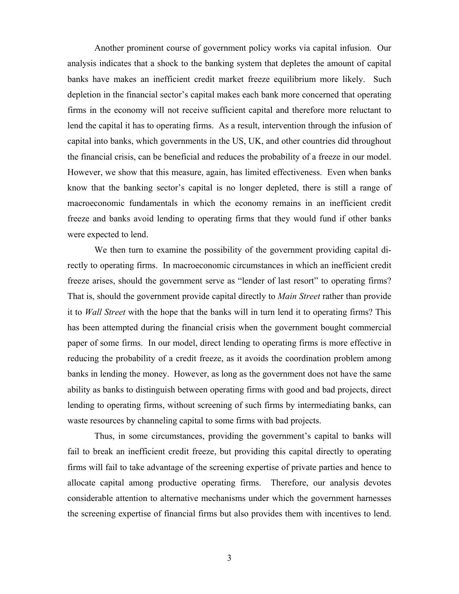Another prominent course of government policy works via capital infusion. Our analysis indicates that a shock to the banking system that depletes the amount of capital banks have makes an inefficient credit market freeze equilibrium more likely. Such depletion in the financial sector's capital makes each bank more concerned that operating firms in the economy will not receive sufficient capital and therefore more reluctant to lend the capital it has to operating firms. As a result, intervention through the infusion of capital into banks, which governments in the US, UK, and other countries did throughout the financial crisis, can be beneficial and reduces the probability of a freeze in our model. However, we show that this measure, again, has limited effectiveness. Even when banks know that the banking sector's capital is no longer depleted, there is still a range of macroeconomic fundamentals in which the economy remains in an inefficient credit freeze and banks avoid lending to operating firms that they would fund if other banks were expected to lend.

We then turn to examine the possibility of the government providing capital directly to operating firms. In macroeconomic circumstances in which an inefficient credit freeze arises, should the government serve as "lender of last resort" to operating firms? That is, should the government provide capital directly to *Main Street* rather than provide it to *Wall Street* with the hope that the banks will in turn lend it to operating firms? This has been attempted during the financial crisis when the government bought commercial paper of some firms. In our model, direct lending to operating firms is more effective in reducing the probability of a credit freeze, as it avoids the coordination problem among banks in lending the money. However, as long as the government does not have the same ability as banks to distinguish between operating firms with good and bad projects, direct lending to operating firms, without screening of such firms by intermediating banks, can waste resources by channeling capital to some firms with bad projects.

Thus, in some circumstances, providing the government's capital to banks will fail to break an inefficient credit freeze, but providing this capital directly to operating firms will fail to take advantage of the screening expertise of private parties and hence to allocate capital among productive operating firms. Therefore, our analysis devotes considerable attention to alternative mechanisms under which the government harnesses the screening expertise of financial firms but also provides them with incentives to lend.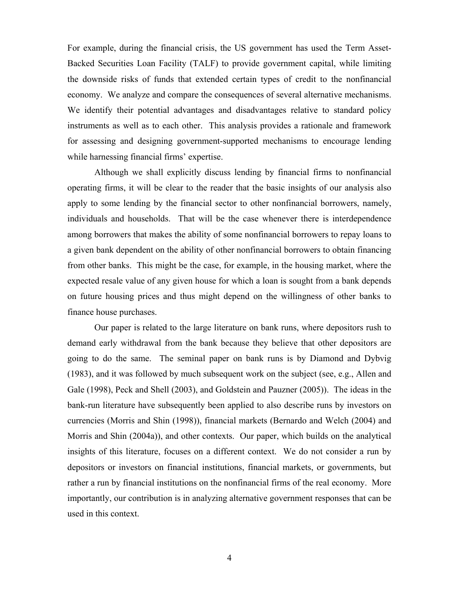For example, during the financial crisis, the US government has used the Term Asset-Backed Securities Loan Facility (TALF) to provide government capital, while limiting the downside risks of funds that extended certain types of credit to the nonfinancial economy. We analyze and compare the consequences of several alternative mechanisms. We identify their potential advantages and disadvantages relative to standard policy instruments as well as to each other. This analysis provides a rationale and framework for assessing and designing government-supported mechanisms to encourage lending while harnessing financial firms' expertise.

Although we shall explicitly discuss lending by financial firms to nonfinancial operating firms, it will be clear to the reader that the basic insights of our analysis also apply to some lending by the financial sector to other nonfinancial borrowers, namely, individuals and households. That will be the case whenever there is interdependence among borrowers that makes the ability of some nonfinancial borrowers to repay loans to a given bank dependent on the ability of other nonfinancial borrowers to obtain financing from other banks. This might be the case, for example, in the housing market, where the expected resale value of any given house for which a loan is sought from a bank depends on future housing prices and thus might depend on the willingness of other banks to finance house purchases.

Our paper is related to the large literature on bank runs, where depositors rush to demand early withdrawal from the bank because they believe that other depositors are going to do the same. The seminal paper on bank runs is by Diamond and Dybvig (1983), and it was followed by much subsequent work on the subject (see, e.g., Allen and Gale (1998), Peck and Shell (2003), and Goldstein and Pauzner (2005)). The ideas in the bank-run literature have subsequently been applied to also describe runs by investors on currencies (Morris and Shin (1998)), financial markets (Bernardo and Welch (2004) and Morris and Shin (2004a)), and other contexts. Our paper, which builds on the analytical insights of this literature, focuses on a different context. We do not consider a run by depositors or investors on financial institutions, financial markets, or governments, but rather a run by financial institutions on the nonfinancial firms of the real economy. More importantly, our contribution is in analyzing alternative government responses that can be used in this context.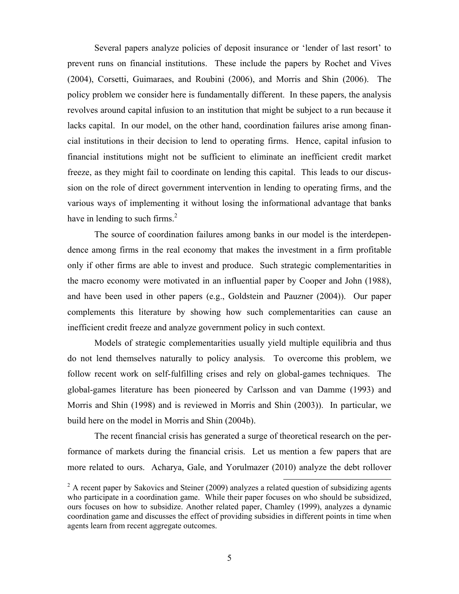Several papers analyze policies of deposit insurance or 'lender of last resort' to prevent runs on financial institutions. These include the papers by Rochet and Vives (2004), Corsetti, Guimaraes, and Roubini (2006), and Morris and Shin (2006). The policy problem we consider here is fundamentally different. In these papers, the analysis revolves around capital infusion to an institution that might be subject to a run because it lacks capital. In our model, on the other hand, coordination failures arise among financial institutions in their decision to lend to operating firms. Hence, capital infusion to financial institutions might not be sufficient to eliminate an inefficient credit market freeze, as they might fail to coordinate on lending this capital. This leads to our discussion on the role of direct government intervention in lending to operating firms, and the various ways of implementing it without losing the informational advantage that banks have in lending to such firms. $2$ 

The source of coordination failures among banks in our model is the interdependence among firms in the real economy that makes the investment in a firm profitable only if other firms are able to invest and produce. Such strategic complementarities in the macro economy were motivated in an influential paper by Cooper and John (1988), and have been used in other papers (e.g., Goldstein and Pauzner (2004)). Our paper complements this literature by showing how such complementarities can cause an inefficient credit freeze and analyze government policy in such context.

Models of strategic complementarities usually yield multiple equilibria and thus do not lend themselves naturally to policy analysis. To overcome this problem, we follow recent work on self-fulfilling crises and rely on global-games techniques. The global-games literature has been pioneered by Carlsson and van Damme (1993) and Morris and Shin (1998) and is reviewed in Morris and Shin (2003)). In particular, we build here on the model in Morris and Shin (2004b).

The recent financial crisis has generated a surge of theoretical research on the performance of markets during the financial crisis. Let us mention a few papers that are more related to ours. Acharya, Gale, and Yorulmazer (2010) analyze the debt rollover

 $2^2$  A recent paper by Sakovics and Steiner (2009) analyzes a related question of subsidizing agents who participate in a coordination game. While their paper focuses on who should be subsidized, ours focuses on how to subsidize. Another related paper, Chamley (1999), analyzes a dynamic coordination game and discusses the effect of providing subsidies in different points in time when agents learn from recent aggregate outcomes.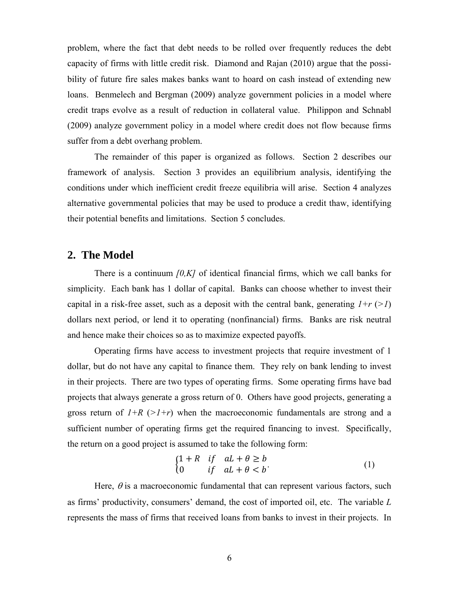problem, where the fact that debt needs to be rolled over frequently reduces the debt capacity of firms with little credit risk. Diamond and Rajan (2010) argue that the possibility of future fire sales makes banks want to hoard on cash instead of extending new loans. Benmelech and Bergman (2009) analyze government policies in a model where credit traps evolve as a result of reduction in collateral value. Philippon and Schnabl (2009) analyze government policy in a model where credit does not flow because firms suffer from a debt overhang problem.

The remainder of this paper is organized as follows. Section 2 describes our framework of analysis. Section 3 provides an equilibrium analysis, identifying the conditions under which inefficient credit freeze equilibria will arise. Section 4 analyzes alternative governmental policies that may be used to produce a credit thaw, identifying their potential benefits and limitations. Section 5 concludes.

#### **2. The Model**

There is a continuum *[0,K]* of identical financial firms, which we call banks for simplicity. Each bank has 1 dollar of capital. Banks can choose whether to invest their capital in a risk-free asset, such as a deposit with the central bank, generating  $1+r$  ( $>1$ ) dollars next period, or lend it to operating (nonfinancial) firms. Banks are risk neutral and hence make their choices so as to maximize expected payoffs.

Operating firms have access to investment projects that require investment of 1 dollar, but do not have any capital to finance them. They rely on bank lending to invest in their projects. There are two types of operating firms. Some operating firms have bad projects that always generate a gross return of 0. Others have good projects, generating a gross return of  $1+R$  ( $>1+r$ ) when the macroeconomic fundamentals are strong and a sufficient number of operating firms get the required financing to invest. Specifically, the return on a good project is assumed to take the following form:

$$
\begin{cases}\n1 + R & \text{if } al + \theta \ge b \\
0 & \text{if } al + \theta < b\n\end{cases} \tag{1}
$$

Here,  $\theta$  is a macroeconomic fundamental that can represent various factors, such as firms' productivity, consumers' demand, the cost of imported oil, etc. The variable *L* represents the mass of firms that received loans from banks to invest in their projects. In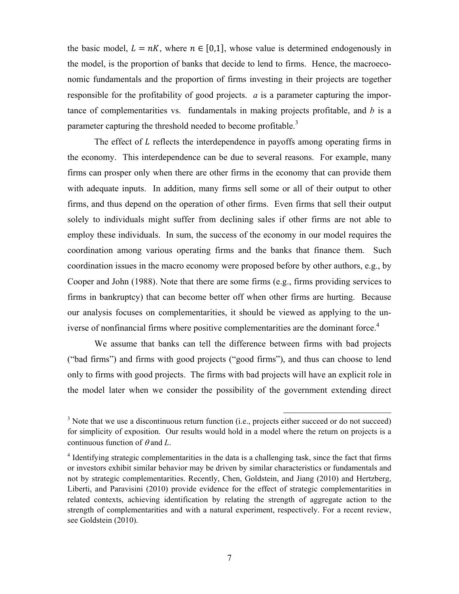the basic model,  $L = nK$ , where  $n \in [0,1]$ , whose value is determined endogenously in the model, is the proportion of banks that decide to lend to firms. Hence, the macroeconomic fundamentals and the proportion of firms investing in their projects are together responsible for the profitability of good projects. *a* is a parameter capturing the importance of complementarities vs. fundamentals in making projects profitable, and *b* is a parameter capturing the threshold needed to become profitable.<sup>3</sup>

The effect of L reflects the interdependence in payoffs among operating firms in the economy. This interdependence can be due to several reasons. For example, many firms can prosper only when there are other firms in the economy that can provide them with adequate inputs. In addition, many firms sell some or all of their output to other firms, and thus depend on the operation of other firms. Even firms that sell their output solely to individuals might suffer from declining sales if other firms are not able to employ these individuals. In sum, the success of the economy in our model requires the coordination among various operating firms and the banks that finance them. Such coordination issues in the macro economy were proposed before by other authors, e.g., by Cooper and John (1988). Note that there are some firms (e.g., firms providing services to firms in bankruptcy) that can become better off when other firms are hurting. Because our analysis focuses on complementarities, it should be viewed as applying to the universe of nonfinancial firms where positive complementarities are the dominant force.<sup>4</sup>

We assume that banks can tell the difference between firms with bad projects ("bad firms") and firms with good projects ("good firms"), and thus can choose to lend only to firms with good projects. The firms with bad projects will have an explicit role in the model later when we consider the possibility of the government extending direct

<sup>&</sup>lt;sup>3</sup> Note that we use a discontinuous return function (i.e., projects either succeed or do not succeed) for simplicity of exposition. Our results would hold in a model where the return on projects is a continuous function of  $\theta$  and *L*.

<sup>&</sup>lt;sup>4</sup> Identifying strategic complementarities in the data is a challenging task, since the fact that firms or investors exhibit similar behavior may be driven by similar characteristics or fundamentals and not by strategic complementarities. Recently, Chen, Goldstein, and Jiang (2010) and Hertzberg, Liberti, and Paravisini (2010) provide evidence for the effect of strategic complementarities in related contexts, achieving identification by relating the strength of aggregate action to the strength of complementarities and with a natural experiment, respectively. For a recent review, see Goldstein (2010).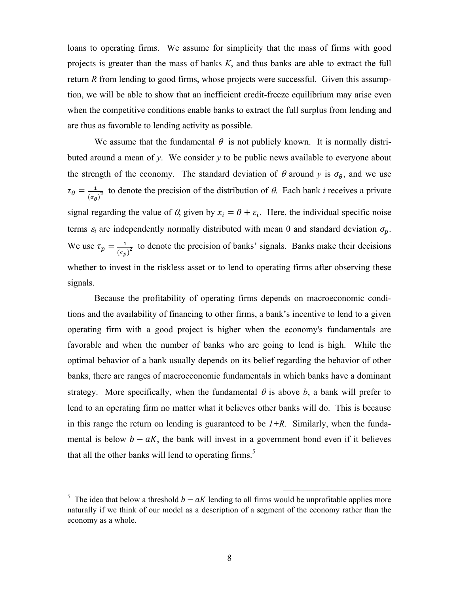loans to operating firms. We assume for simplicity that the mass of firms with good projects is greater than the mass of banks *K*, and thus banks are able to extract the full return *R* from lending to good firms, whose projects were successful. Given this assumption, we will be able to show that an inefficient credit-freeze equilibrium may arise even when the competitive conditions enable banks to extract the full surplus from lending and are thus as favorable to lending activity as possible.

We assume that the fundamental  $\theta$  is not publicly known. It is normally distributed around a mean of *y*. We consider *y* to be public news available to everyone about the strength of the economy. The standard deviation of  $\theta$  around *y* is  $\sigma_{\theta}$ , and we use  $\tau_{\theta} = \frac{1}{(\sigma_{\theta})^2}$  to denote the precision of the distribution of  $\theta$ . Each bank *i* receives a private signal regarding the value of  $\theta$ , given by  $x_i = \theta + \varepsilon_i$ . Here, the individual specific noise terms  $\varepsilon_i$  are independently normally distributed with mean 0 and standard deviation  $\sigma_p$ . We use  $\tau_p = \frac{1}{(\sigma_p)^2}$  to denote the precision of banks' signals. Banks make their decisions whether to invest in the riskless asset or to lend to operating firms after observing these signals.

Because the profitability of operating firms depends on macroeconomic conditions and the availability of financing to other firms, a bank's incentive to lend to a given operating firm with a good project is higher when the economy's fundamentals are favorable and when the number of banks who are going to lend is high. While the optimal behavior of a bank usually depends on its belief regarding the behavior of other banks, there are ranges of macroeconomic fundamentals in which banks have a dominant strategy. More specifically, when the fundamental  $\theta$  is above  $b$ , a bank will prefer to lend to an operating firm no matter what it believes other banks will do. This is because in this range the return on lending is guaranteed to be  $I + R$ . Similarly, when the fundamental is below  $b - aK$ , the bank will invest in a government bond even if it believes that all the other banks will lend to operating firms.<sup>5</sup>

<sup>&</sup>lt;sup>5</sup> The idea that below a threshold  $b - aK$  lending to all firms would be unprofitable applies more naturally if we think of our model as a description of a segment of the economy rather than the economy as a whole.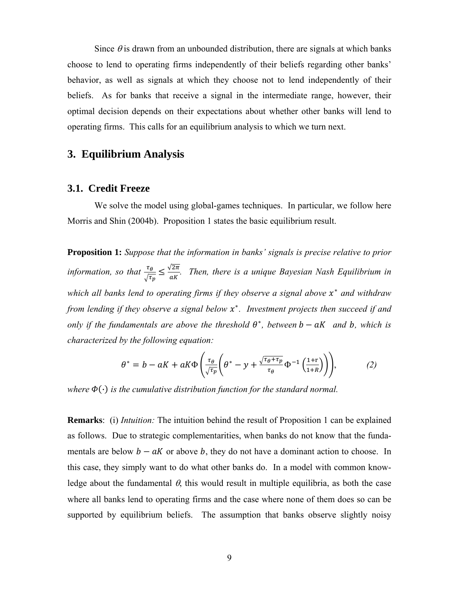Since  $\theta$  is drawn from an unbounded distribution, there are signals at which banks choose to lend to operating firms independently of their beliefs regarding other banks' behavior, as well as signals at which they choose not to lend independently of their beliefs. As for banks that receive a signal in the intermediate range, however, their optimal decision depends on their expectations about whether other banks will lend to operating firms. This calls for an equilibrium analysis to which we turn next.

# 3. Equilibrium Analysis

#### 3.1. Credit Freeze

We solve the model using global-games techniques. In particular, we follow here Morris and Shin (2004b). Proposition 1 states the basic equilibrium result.

**Proposition 1:** Suppose that the information in banks' signals is precise relative to prior information, so that  $\frac{\tau_{\theta}}{\sqrt{\tau_n}} \leq \frac{\sqrt{2\pi}}{aK}$ . Then, there is a unique Bayesian Nash Equilibrium in which all banks lend to operating firms if they observe a signal above  $x^*$  and withdraw from lending if they observe a signal below  $x^*$ . Investment projects then succeed if and only if the fundamentals are above the threshold  $\theta^*$ , between  $b - aK$  and b, which is *characterized by the following equation:* 

$$
\theta^* = b - aK + aK\Phi\left(\frac{\tau_\theta}{\sqrt{\tau_p}}\left(\theta^* - y + \frac{\sqrt{\tau_\theta + \tau_p}}{\tau_\theta}\Phi^{-1}\left(\frac{1+r}{1+R}\right)\right)\right),\tag{2}
$$

where  $\Phi(\cdot)$  is the cumulative distribution function for the standard normal.

**Remarks:** (i) *Intuition:* The intuition behind the result of Proposition 1 can be explained as follows. Due to strategic complementarities, when banks do not know that the fundamentals are below  $b - aK$  or above b, they do not have a dominant action to choose. In this case, they simply want to do what other banks do. In a model with common knowledge about the fundamental  $\theta$ , this would result in multiple equilibria, as both the case where all banks lend to operating firms and the case where none of them does so can be supported by equilibrium beliefs. The assumption that banks observe slightly noisy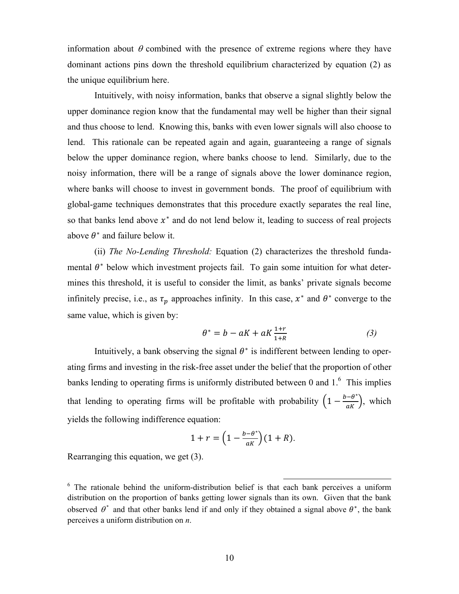information about  $\theta$  combined with the presence of extreme regions where they have dominant actions pins down the threshold equilibrium characterized by equation (2) as the unique equilibrium here.

Intuitively, with noisy information, banks that observe a signal slightly below the upper dominance region know that the fundamental may well be higher than their signal and thus choose to lend. Knowing this, banks with even lower signals will also choose to lend. This rationale can be repeated again and again, guaranteeing a range of signals below the upper dominance region, where banks choose to lend. Similarly, due to the noisy information, there will be a range of signals above the lower dominance region, where banks will choose to invest in government bonds. The proof of equilibrium with global-game techniques demonstrates that this procedure exactly separates the real line, so that banks lend above  $x^*$  and do not lend below it, leading to success of real projects above  $\theta^*$  and failure below it.

(ii) *The No-Lending Threshold:* Equation (2) characterizes the threshold fundamental  $\theta^*$  below which investment projects fail. To gain some intuition for what determines this threshold, it is useful to consider the limit, as banks' private signals become infinitely precise, i.e., as  $\tau_n$  approaches infinity. In this case,  $x^*$  and  $\theta^*$  converge to the same value, which is given by:

$$
\theta^* = b - aK + aK \frac{1+r}{1+R} \tag{3}
$$

Intuitively, a bank observing the signal  $\theta^*$  is indifferent between lending to operating firms and investing in the risk-free asset under the belief that the proportion of other banks lending to operating firms is uniformly distributed between 0 and  $1<sup>6</sup>$  This implies that lending to operating firms will be profitable with probability  $\left(1 - \frac{b - \theta^*}{aK}\right)$ , which yields the following indifference equation:

$$
1 + r = \left(1 - \frac{b - \theta^*}{aK}\right)(1 + R).
$$

Rearranging this equation, we get (3).

<sup>&</sup>lt;sup>6</sup> The rationale behind the uniform-distribution belief is that each bank perceives a uniform distribution on the proportion of banks getting lower signals than its own. Given that the bank observed  $\theta^*$  and that other banks lend if and only if they obtained a signal above  $\theta^*$ , the bank perceives a uniform distribution on *n*.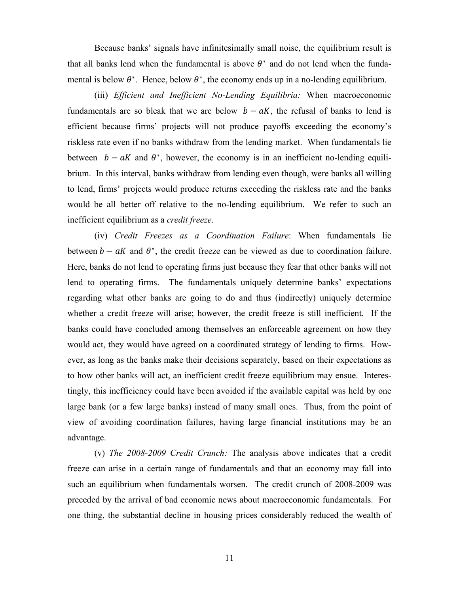Because banks' signals have infinitesimally small noise, the equilibrium result is that all banks lend when the fundamental is above  $\theta^*$  and do not lend when the fundamental is below  $\theta^*$ . Hence, below  $\theta^*$ , the economy ends up in a no-lending equilibrium.

 (iii) *Efficient and Inefficient No-Lending Equilibria:* When macroeconomic fundamentals are so bleak that we are below  $b - aK$ , the refusal of banks to lend is efficient because firms' projects will not produce payoffs exceeding the economy's riskless rate even if no banks withdraw from the lending market. When fundamentals lie between  $b - aK$  and  $\theta^*$ , however, the economy is in an inefficient no-lending equilibrium. In this interval, banks withdraw from lending even though, were banks all willing to lend, firms' projects would produce returns exceeding the riskless rate and the banks would be all better off relative to the no-lending equilibrium. We refer to such an inefficient equilibrium as a *credit freeze*.

(iv) *Credit Freezes as a Coordination Failure*: When fundamentals lie between  $b - aK$  and  $\theta^*$ , the credit freeze can be viewed as due to coordination failure. Here, banks do not lend to operating firms just because they fear that other banks will not lend to operating firms. The fundamentals uniquely determine banks' expectations regarding what other banks are going to do and thus (indirectly) uniquely determine whether a credit freeze will arise; however, the credit freeze is still inefficient. If the banks could have concluded among themselves an enforceable agreement on how they would act, they would have agreed on a coordinated strategy of lending to firms. However, as long as the banks make their decisions separately, based on their expectations as to how other banks will act, an inefficient credit freeze equilibrium may ensue. Interestingly, this inefficiency could have been avoided if the available capital was held by one large bank (or a few large banks) instead of many small ones. Thus, from the point of view of avoiding coordination failures, having large financial institutions may be an advantage.

(v) *The 2008-2009 Credit Crunch:* The analysis above indicates that a credit freeze can arise in a certain range of fundamentals and that an economy may fall into such an equilibrium when fundamentals worsen. The credit crunch of 2008-2009 was preceded by the arrival of bad economic news about macroeconomic fundamentals. For one thing, the substantial decline in housing prices considerably reduced the wealth of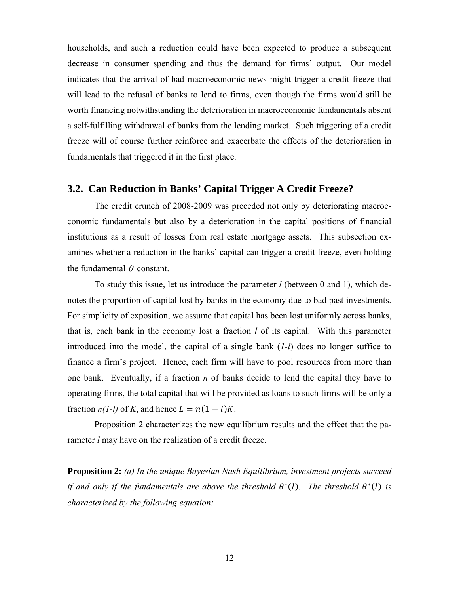households, and such a reduction could have been expected to produce a subsequent decrease in consumer spending and thus the demand for firms' output. Our model indicates that the arrival of bad macroeconomic news might trigger a credit freeze that will lead to the refusal of banks to lend to firms, even though the firms would still be worth financing notwithstanding the deterioration in macroeconomic fundamentals absent a self-fulfilling withdrawal of banks from the lending market. Such triggering of a credit freeze will of course further reinforce and exacerbate the effects of the deterioration in fundamentals that triggered it in the first place.

#### **3.2. Can Reduction in Banks' Capital Trigger A Credit Freeze?**

The credit crunch of 2008-2009 was preceded not only by deteriorating macroeconomic fundamentals but also by a deterioration in the capital positions of financial institutions as a result of losses from real estate mortgage assets. This subsection examines whether a reduction in the banks' capital can trigger a credit freeze, even holding the fundamental  $\theta$  constant.

To study this issue, let us introduce the parameter *l* (between 0 and 1), which denotes the proportion of capital lost by banks in the economy due to bad past investments. For simplicity of exposition, we assume that capital has been lost uniformly across banks, that is, each bank in the economy lost a fraction *l* of its capital. With this parameter introduced into the model, the capital of a single bank (*1-l*) does no longer suffice to finance a firm's project. Hence, each firm will have to pool resources from more than one bank. Eventually, if a fraction *n* of banks decide to lend the capital they have to operating firms, the total capital that will be provided as loans to such firms will be only a fraction  $n(l-l)$  of K, and hence  $L = n(1-l)K$ .

Proposition 2 characterizes the new equilibrium results and the effect that the parameter *l* may have on the realization of a credit freeze.

**Proposition 2:** *(a) In the unique Bayesian Nash Equilibrium, investment projects succeed if and only if the fundamentals are above the threshold*  $\theta^*(l)$ *. The threshold*  $\theta^*(l)$  *is characterized by the following equation:*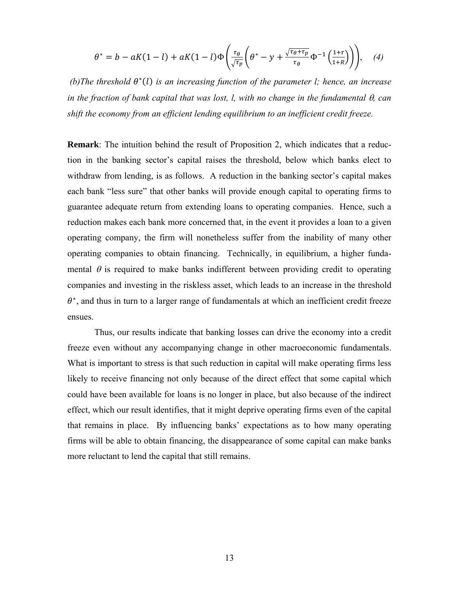$$
\theta^* = b - aK(1-l) + aK(1-l)\Phi\left(\frac{\tau_\theta}{\sqrt{\tau_p}}\left(\theta^* - y + \frac{\sqrt{\tau_\theta + \tau_p}}{\tau_\theta}\Phi^{-1}\left(\frac{1+r}{1+R}\right)\right)\right), \quad (4)
$$

(b) The threshold  $\theta^*(l)$  is an increasing function of the parameter l; hence, an increase in the fraction of bank capital that was lost, l, with no change in the fundamental  $\theta$ , can shift the economy from an efficient lending equilibrium to an inefficient credit freeze.

**Remark:** The intuition behind the result of Proposition 2, which indicates that a reduction in the banking sector's capital raises the threshold, below which banks elect to withdraw from lending, is as follows. A reduction in the banking sector's capital makes each bank "less sure" that other banks will provide enough capital to operating firms to guarantee adequate return from extending loans to operating companies. Hence, such a reduction makes each bank more concerned that, in the event it provides a loan to a given operating company, the firm will nonetheless suffer from the inability of many other operating companies to obtain financing. Technically, in equilibrium, a higher fundamental  $\theta$  is required to make banks indifferent between providing credit to operating companies and investing in the riskless asset, which leads to an increase in the threshold  $\theta^*$ , and thus in turn to a larger range of fundamentals at which an inefficient credit freeze ensues.

Thus, our results indicate that banking losses can drive the economy into a credit freeze even without any accompanying change in other macroeconomic fundamentals. What is important to stress is that such reduction in capital will make operating firms less likely to receive financing not only because of the direct effect that some capital which could have been available for loans is no longer in place, but also because of the indirect effect, which our result identifies, that it might deprive operating firms even of the capital that remains in place. By influencing banks' expectations as to how many operating firms will be able to obtain financing, the disappearance of some capital can make banks more reluctant to lend the capital that still remains.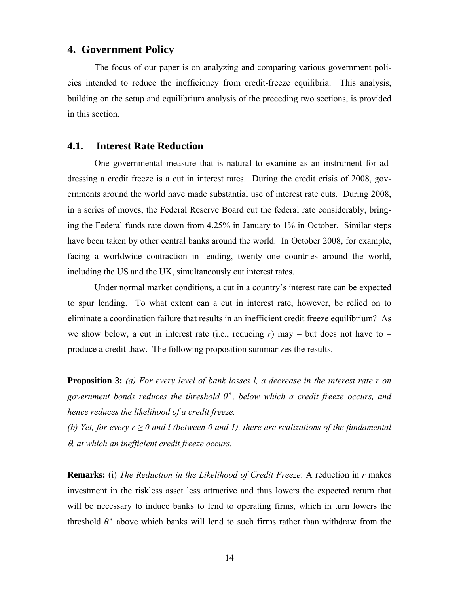#### **4. Government Policy**

The focus of our paper is on analyzing and comparing various government policies intended to reduce the inefficiency from credit-freeze equilibria. This analysis, building on the setup and equilibrium analysis of the preceding two sections, is provided in this section.

#### **4.1. Interest Rate Reduction**

One governmental measure that is natural to examine as an instrument for addressing a credit freeze is a cut in interest rates. During the credit crisis of 2008, governments around the world have made substantial use of interest rate cuts. During 2008, in a series of moves, the Federal Reserve Board cut the federal rate considerably, bringing the Federal funds rate down from 4.25% in January to 1% in October. Similar steps have been taken by other central banks around the world. In October 2008, for example, facing a worldwide contraction in lending, twenty one countries around the world, including the US and the UK, simultaneously cut interest rates.

Under normal market conditions, a cut in a country's interest rate can be expected to spur lending. To what extent can a cut in interest rate, however, be relied on to eliminate a coordination failure that results in an inefficient credit freeze equilibrium? As we show below, a cut in interest rate (i.e., reducing  $r$ ) may – but does not have to – produce a credit thaw. The following proposition summarizes the results.

**Proposition 3:** *(a) For every level of bank losses l, a decrease in the interest rate r on*  government bonds reduces the threshold θ<sup>\*</sup>, below which a credit freeze occurs, and *hence reduces the likelihood of a credit freeze.* 

*(b) Yet, for every r ≥ 0 and l (between 0 and 1), there are realizations of the fundamental*   $\theta$ , at which an inefficient credit freeze occurs.

**Remarks:** (i) *The Reduction in the Likelihood of Credit Freeze*: A reduction in *r* makes investment in the riskless asset less attractive and thus lowers the expected return that will be necessary to induce banks to lend to operating firms, which in turn lowers the threshold  $\theta^*$  above which banks will lend to such firms rather than withdraw from the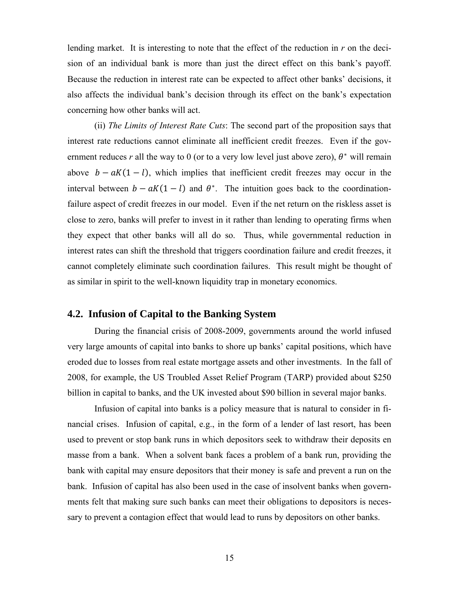lending market. It is interesting to note that the effect of the reduction in *r* on the decision of an individual bank is more than just the direct effect on this bank's payoff. Because the reduction in interest rate can be expected to affect other banks' decisions, it also affects the individual bank's decision through its effect on the bank's expectation concerning how other banks will act.

(ii) *The Limits of Interest Rate Cuts*: The second part of the proposition says that interest rate reductions cannot eliminate all inefficient credit freezes. Even if the government reduces *r* all the way to 0 (or to a very low level just above zero),  $\theta^*$  will remain above  $b - aK(1 - l)$ , which implies that inefficient credit freezes may occur in the interval between  $b - aK(1 - l)$  and  $\theta^*$ . The intuition goes back to the coordinationfailure aspect of credit freezes in our model. Even if the net return on the riskless asset is close to zero, banks will prefer to invest in it rather than lending to operating firms when they expect that other banks will all do so. Thus, while governmental reduction in interest rates can shift the threshold that triggers coordination failure and credit freezes, it cannot completely eliminate such coordination failures. This result might be thought of as similar in spirit to the well-known liquidity trap in monetary economics.

#### **4.2. Infusion of Capital to the Banking System**

During the financial crisis of 2008-2009, governments around the world infused very large amounts of capital into banks to shore up banks' capital positions, which have eroded due to losses from real estate mortgage assets and other investments. In the fall of 2008, for example, the US Troubled Asset Relief Program (TARP) provided about \$250 billion in capital to banks, and the UK invested about \$90 billion in several major banks.

Infusion of capital into banks is a policy measure that is natural to consider in financial crises. Infusion of capital, e.g., in the form of a lender of last resort, has been used to prevent or stop bank runs in which depositors seek to withdraw their deposits en masse from a bank. When a solvent bank faces a problem of a bank run, providing the bank with capital may ensure depositors that their money is safe and prevent a run on the bank. Infusion of capital has also been used in the case of insolvent banks when governments felt that making sure such banks can meet their obligations to depositors is necessary to prevent a contagion effect that would lead to runs by depositors on other banks.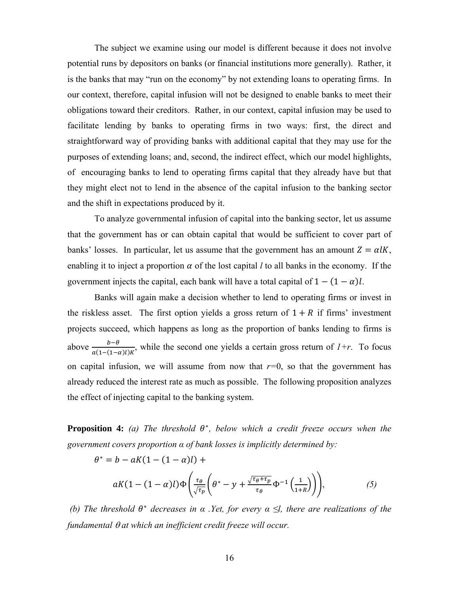The subject we examine using our model is different because it does not involve potential runs by depositors on banks (or financial institutions more generally). Rather, it is the banks that may "run on the economy" by not extending loans to operating firms. In our context, therefore, capital infusion will not be designed to enable banks to meet their obligations toward their creditors. Rather, in our context, capital infusion may be used to facilitate lending by banks to operating firms in two ways: first, the direct and straightforward way of providing banks with additional capital that they may use for the purposes of extending loans; and, second, the indirect effect, which our model highlights, of encouraging banks to lend to operating firms capital that they already have but that they might elect not to lend in the absence of the capital infusion to the banking sector and the shift in expectations produced by it.

To analyze governmental infusion of capital into the banking sector, let us assume that the government has or can obtain capital that would be sufficient to cover part of banks' losses. In particular, let us assume that the government has an amount  $Z = \alpha lK$ , enabling it to inject a proportion  $\alpha$  of the lost capital l to all banks in the economy. If the government injects the capital, each bank will have a total capital of  $1 - (1 - \alpha)l$ .

Banks will again make a decision whether to lend to operating firms or invest in the riskless asset. The first option yields a gross return of  $1 + R$  if firms' investment projects succeed, which happens as long as the proportion of banks lending to firms is above  $\frac{b-\theta}{a(1-(1-\alpha)l)K}$ , while the second one yields a certain gross return of  $l+r$ . To focus on capital infusion, we will assume from now that  $r=0$ , so that the government has already reduced the interest rate as much as possible. The following proposition analyzes the effect of injecting capital to the banking system.

**Proposition 4:** (a) The threshold  $\theta^*$ , below which a credit freeze occurs when the government covers proportion  $\alpha$  of bank losses is implicitly determined by:

$$
\theta^* = b - aK(1 - (1 - \alpha)l) +
$$
  
\n
$$
aK(1 - (1 - \alpha)l)\Phi\left(\frac{\tau_\theta}{\sqrt{\tau_p}}\left(\theta^* - y + \frac{\sqrt{\tau_\theta + \tau_p}}{\tau_\theta}\Phi^{-1}\left(\frac{1}{1+R}\right)\right)\right),
$$
\n(5)

(b) The threshold  $\theta^*$  decreases in  $\alpha$ . Yet, for every  $\alpha \leq l$ , there are realizations of the fundamental  $\theta$  at which an inefficient credit freeze will occur.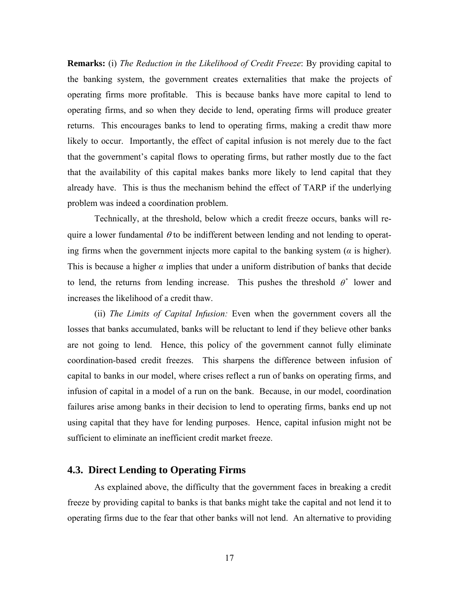**Remarks:** (i) *The Reduction in the Likelihood of Credit Freeze*: By providing capital to the banking system, the government creates externalities that make the projects of operating firms more profitable. This is because banks have more capital to lend to operating firms, and so when they decide to lend, operating firms will produce greater returns. This encourages banks to lend to operating firms, making a credit thaw more likely to occur. Importantly, the effect of capital infusion is not merely due to the fact that the government's capital flows to operating firms, but rather mostly due to the fact that the availability of this capital makes banks more likely to lend capital that they already have. This is thus the mechanism behind the effect of TARP if the underlying problem was indeed a coordination problem.

Technically, at the threshold, below which a credit freeze occurs, banks will require a lower fundamental  $\theta$  to be indifferent between lending and not lending to operating firms when the government injects more capital to the banking system ( $\alpha$  is higher). This is because a higher  $\alpha$  implies that under a uniform distribution of banks that decide to lend, the returns from lending increase. This pushes the threshold  $\theta^*$  lower and increases the likelihood of a credit thaw.

(ii) *The Limits of Capital Infusion:* Even when the government covers all the losses that banks accumulated, banks will be reluctant to lend if they believe other banks are not going to lend. Hence, this policy of the government cannot fully eliminate coordination-based credit freezes. This sharpens the difference between infusion of capital to banks in our model, where crises reflect a run of banks on operating firms, and infusion of capital in a model of a run on the bank. Because, in our model, coordination failures arise among banks in their decision to lend to operating firms, banks end up not using capital that they have for lending purposes. Hence, capital infusion might not be sufficient to eliminate an inefficient credit market freeze.

#### **4.3. Direct Lending to Operating Firms**

As explained above, the difficulty that the government faces in breaking a credit freeze by providing capital to banks is that banks might take the capital and not lend it to operating firms due to the fear that other banks will not lend. An alternative to providing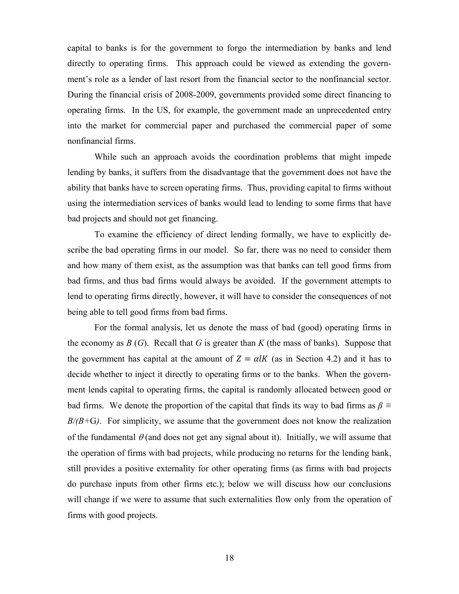capital to banks is for the government to forgo the intermediation by banks and lend directly to operating firms. This approach could be viewed as extending the government's role as a lender of last resort from the financial sector to the nonfinancial sector. During the financial crisis of 2008-2009, governments provided some direct financing to operating firms. In the US, for example, the government made an unprecedented entry into the market for commercial paper and purchased the commercial paper of some nonfinancial firms.

While such an approach avoids the coordination problems that might impede lending by banks, it suffers from the disadvantage that the government does not have the ability that banks have to screen operating firms. Thus, providing capital to firms without using the intermediation services of banks would lead to lending to some firms that have bad projects and should not get financing.

To examine the efficiency of direct lending formally, we have to explicitly describe the bad operating firms in our model. So far, there was no need to consider them and how many of them exist, as the assumption was that banks can tell good firms from bad firms, and thus bad firms would always be avoided. If the government attempts to lend to operating firms directly, however, it will have to consider the consequences of not being able to tell good firms from bad firms.

For the formal analysis, let us denote the mass of bad (good) operating firms in the economy as *B* (*G*). Recall that *G* is greater than *K* (the mass of banks). Suppose that the government has capital at the amount of  $Z = \alpha l K$  (as in Section 4.2) and it has to decide whether to inject it directly to operating firms or to the banks. When the government lends capital to operating firms, the capital is randomly allocated between good or bad firms. We denote the proportion of the capital that finds its way to bad firms as  $\beta \equiv$  $B/(B+G)$ . For simplicity, we assume that the government does not know the realization of the fundamental  $\theta$  (and does not get any signal about it). Initially, we will assume that the operation of firms with bad projects, while producing no returns for the lending bank, still provides a positive externality for other operating firms (as firms with bad projects do purchase inputs from other firms etc.); below we will discuss how our conclusions will change if we were to assume that such externalities flow only from the operation of firms with good projects.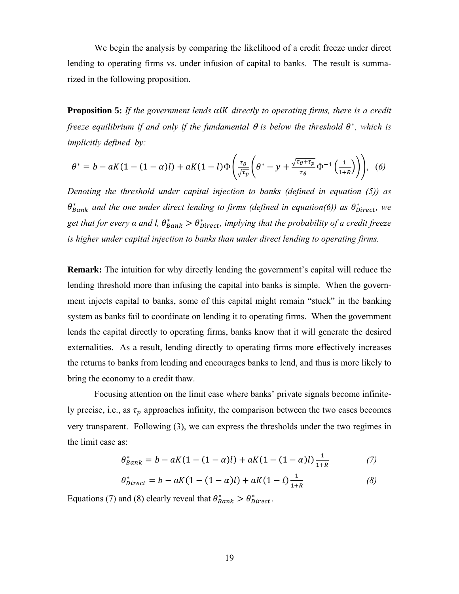We begin the analysis by comparing the likelihood of a credit freeze under direct lending to operating firms vs. under infusion of capital to banks. The result is summarized in the following proposition.

**Proposition 5:** If the government lends  $\alpha$ lK directly to operating firms, there is a credit *freeze equilibrium if and only if the fundamental*  $\theta$  *is below the threshold*  $\theta^*$ *, which is implicitly defined by:* 

$$
\theta^* = b - aK(1 - (1 - \alpha)l) + aK(1 - l)\Phi\left(\frac{\tau_\theta}{\sqrt{\tau_p}}\left(\theta^* - y + \frac{\sqrt{\tau_\theta + \tau_p}}{\tau_\theta}\Phi^{-1}\left(\frac{1}{1+R}\right)\right)\right), \quad (6)
$$

*Denoting the threshold under capital injection to banks (defined in equation (5)) as*   $\theta^*_{Bank}$  and the one under direct lending to firms (defined in equation(6)) as  $\theta^*_{Direct}$ , we *get that for every*  $\alpha$  *and l,*  $\theta_{Bank}^* > \theta_{Direct}^*$ *, implying that the probability of a credit freeze is higher under capital injection to banks than under direct lending to operating firms.* 

**Remark:** The intuition for why directly lending the government's capital will reduce the lending threshold more than infusing the capital into banks is simple. When the government injects capital to banks, some of this capital might remain "stuck" in the banking system as banks fail to coordinate on lending it to operating firms. When the government lends the capital directly to operating firms, banks know that it will generate the desired externalities. As a result, lending directly to operating firms more effectively increases the returns to banks from lending and encourages banks to lend, and thus is more likely to bring the economy to a credit thaw.

Focusing attention on the limit case where banks' private signals become infinitely precise, i.e., as  $\tau_p$  approaches infinity, the comparison between the two cases becomes very transparent. Following (3), we can express the thresholds under the two regimes in the limit case as:

$$
\theta_{Bank}^* = b - aK(1 - (1 - \alpha)l) + aK(1 - (1 - \alpha)l)\frac{1}{1 + R}
$$
 (7)

$$
\theta_{Direct}^* = b - aK(1 - (1 - \alpha)l) + aK(1 - l)\frac{1}{1 + R}
$$
\n(8)

Equations (7) and (8) clearly reveal that  $\theta_{Bank}^* > \theta_{Direct}^*$ .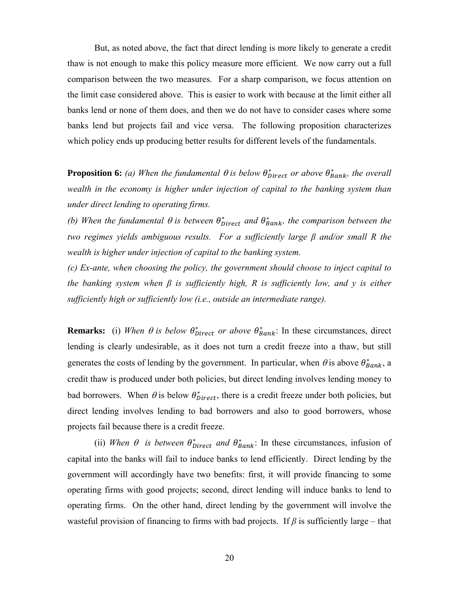But, as noted above, the fact that direct lending is more likely to generate a credit thaw is not enough to make this policy measure more efficient. We now carry out a full comparison between the two measures. For a sharp comparison, we focus attention on the limit case considered above. This is easier to work with because at the limit either all banks lend or none of them does, and then we do not have to consider cases where some banks lend but projects fail and vice versa. The following proposition characterizes which policy ends up producing better results for different levels of the fundamentals.

**Proposition 6:** (a) When the fundamental  $\theta$  is below  $\theta_{\text{Direct}}^*$  or above  $\theta_{\text{Bank}}^*$ , the overall *wealth in the economy is higher under injection of capital to the banking system than under direct lending to operating firms.* 

*(b)* When the fundamental  $\theta$  is between  $\theta_{\text{Direct}}^*$  and  $\theta_{\text{Bank}}^*$ , the comparison between the *two regimes yields ambiguous results. For a sufficiently large β and/or small R the wealth is higher under injection of capital to the banking system.* 

*(c) Ex-ante, when choosing the policy, the government should choose to inject capital to the banking system when β is sufficiently high, R is sufficiently low, and y is either sufficiently high or sufficiently low (i.e., outside an intermediate range).* 

**Remarks:** (i) When  $\theta$  is below  $\theta_{\text{Direct}}^*$  or above  $\theta_{\text{Bank}}^*$ . In these circumstances, direct lending is clearly undesirable, as it does not turn a credit freeze into a thaw, but still generates the costs of lending by the government. In particular, when  $\theta$  is above  $\theta_{Bank}^*$ , a credit thaw is produced under both policies, but direct lending involves lending money to bad borrowers. When  $\theta$  is below  $\theta_{Direct}^*$ , there is a credit freeze under both policies, but direct lending involves lending to bad borrowers and also to good borrowers, whose projects fail because there is a credit freeze.

(ii) When  $\theta$  is between  $\theta_{\text{Direct}}^*$  and  $\theta_{\text{Bank}}^*$ : In these circumstances, infusion of capital into the banks will fail to induce banks to lend efficiently. Direct lending by the government will accordingly have two benefits: first, it will provide financing to some operating firms with good projects; second, direct lending will induce banks to lend to operating firms. On the other hand, direct lending by the government will involve the wasteful provision of financing to firms with bad projects. If  $\beta$  is sufficiently large – that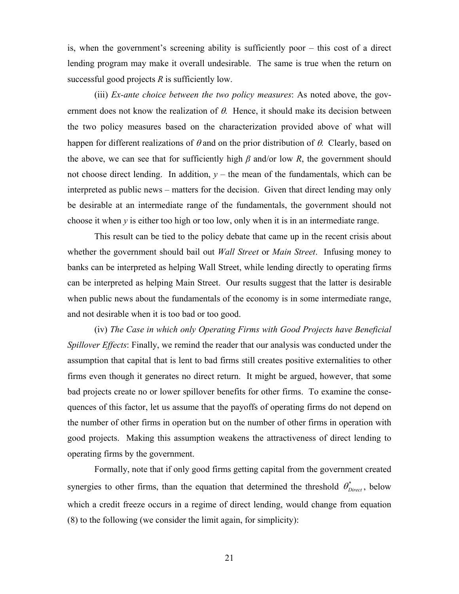is, when the government's screening ability is sufficiently poor – this cost of a direct lending program may make it overall undesirable. The same is true when the return on successful good projects *R* is sufficiently low.

(iii) *Ex-ante choice between the two policy measures*: As noted above, the government does not know the realization of  $\theta$ . Hence, it should make its decision between the two policy measures based on the characterization provided above of what will happen for different realizations of  $\theta$  and on the prior distribution of  $\theta$ . Clearly, based on the above, we can see that for sufficiently high  $\beta$  and/or low  $R$ , the government should not choose direct lending. In addition,  $y$  – the mean of the fundamentals, which can be interpreted as public news – matters for the decision. Given that direct lending may only be desirable at an intermediate range of the fundamentals, the government should not choose it when  $\gamma$  is either too high or too low, only when it is in an intermediate range.

This result can be tied to the policy debate that came up in the recent crisis about whether the government should bail out *Wall Street* or *Main Street*. Infusing money to banks can be interpreted as helping Wall Street, while lending directly to operating firms can be interpreted as helping Main Street. Our results suggest that the latter is desirable when public news about the fundamentals of the economy is in some intermediate range, and not desirable when it is too bad or too good.

(iv) *The Case in which only Operating Firms with Good Projects have Beneficial Spillover Effects*: Finally, we remind the reader that our analysis was conducted under the assumption that capital that is lent to bad firms still creates positive externalities to other firms even though it generates no direct return. It might be argued, however, that some bad projects create no or lower spillover benefits for other firms. To examine the consequences of this factor, let us assume that the payoffs of operating firms do not depend on the number of other firms in operation but on the number of other firms in operation with good projects. Making this assumption weakens the attractiveness of direct lending to operating firms by the government.

Formally, note that if only good firms getting capital from the government created synergies to other firms, than the equation that determined the threshold  $\theta_{Direct}^*$ , below which a credit freeze occurs in a regime of direct lending, would change from equation (8) to the following (we consider the limit again, for simplicity):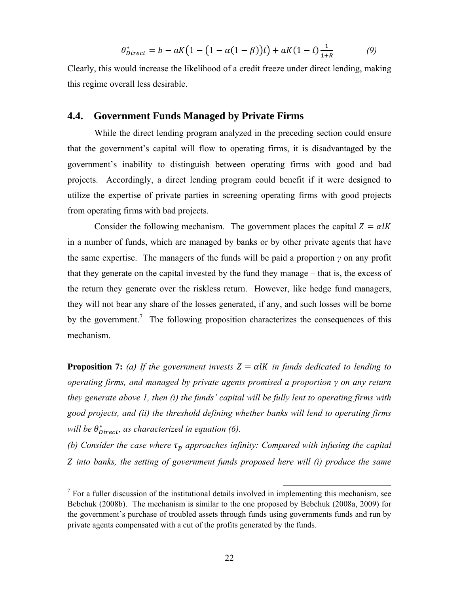$$
\theta_{\text{Direct}}^* = b - aK\big(1 - \big(1 - \alpha(1 - \beta)\big)l\big) + aK(1 - l)\frac{1}{1 + R} \tag{9}
$$

Clearly, this would increase the likelihood of a credit freeze under direct lending, making this regime overall less desirable.

#### 4.4. **Government Funds Managed by Private Firms**

While the direct lending program analyzed in the preceding section could ensure that the government's capital will flow to operating firms, it is disadvantaged by the government's inability to distinguish between operating firms with good and bad projects. Accordingly, a direct lending program could benefit if it were designed to utilize the expertise of private parties in screening operating firms with good projects from operating firms with bad projects.

Consider the following mechanism. The government places the capital  $Z = \alpha lK$ in a number of funds, which are managed by banks or by other private agents that have the same expertise. The managers of the funds will be paid a proportion  $\gamma$  on any profit that they generate on the capital invested by the fund they manage – that is, the excess of the return they generate over the riskless return. However, like hedge fund managers, they will not bear any share of the losses generated, if any, and such losses will be borne by the government.<sup>7</sup> The following proposition characterizes the consequences of this mechanism.

**Proposition 7:** (a) If the government invests  $Z = \alpha lK$  in funds dedicated to lending to operating firms, and managed by private agents promised a proportion  $\gamma$  on any return they generate above 1, then (i) the funds' capital will be fully lent to operating firms with good projects, and (ii) the threshold defining whether banks will lend to operating firms will be  $\theta_{\text{Direct}}^*$ , as characterized in equation (6).

(b) Consider the case where  $\tau_p$  approaches infinity: Compared with infusing the capital Z into banks, the setting of government funds proposed here will (i) produce the same

 $\frac{7}{7}$  For a fuller discussion of the institutional details involved in implementing this mechanism, see Bebchuk (2008b). The mechanism is similar to the one proposed by Bebchuk (2008a, 2009) for the government's purchase of troubled assets through funds using governments funds and run by private agents compensated with a cut of the profits generated by the funds.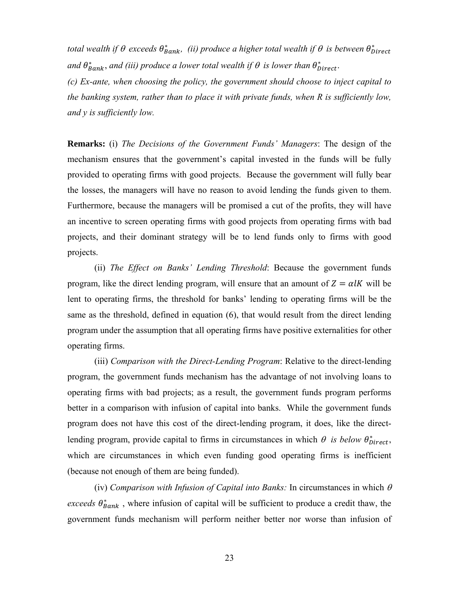total wealth if  $\theta$  exceeds  $\theta^*_{Bank}$ , (ii) produce a higher total wealth if  $\theta$  is between  $\theta^*_{Direct}$ and  $\theta_{Bank}^*$ , and (iii) produce a lower total wealth if  $\theta$  is lower than  $\theta_{Direct}^*$ .

*(c) Ex-ante, when choosing the policy, the government should choose to inject capital to the banking system, rather than to place it with private funds, when R is sufficiently low, and y is sufficiently low.* 

**Remarks:** (i) *The Decisions of the Government Funds' Managers*: The design of the mechanism ensures that the government's capital invested in the funds will be fully provided to operating firms with good projects. Because the government will fully bear the losses, the managers will have no reason to avoid lending the funds given to them. Furthermore, because the managers will be promised a cut of the profits, they will have an incentive to screen operating firms with good projects from operating firms with bad projects, and their dominant strategy will be to lend funds only to firms with good projects.

 (ii) *The Effect on Banks' Lending Threshold*: Because the government funds program, like the direct lending program, will ensure that an amount of  $Z = \alpha l K$  will be lent to operating firms, the threshold for banks' lending to operating firms will be the same as the threshold, defined in equation (6), that would result from the direct lending program under the assumption that all operating firms have positive externalities for other operating firms.

 (iii) *Comparison with the Direct-Lending Program*: Relative to the direct-lending program, the government funds mechanism has the advantage of not involving loans to operating firms with bad projects; as a result, the government funds program performs better in a comparison with infusion of capital into banks. While the government funds program does not have this cost of the direct-lending program, it does, like the directlending program, provide capital to firms in circumstances in which  $\theta$  is below  $\theta_{\text{Direct}}^*$ , which are circumstances in which even funding good operating firms is inefficient (because not enough of them are being funded).

(iv) *Comparison with Infusion of Capital into Banks:* In circumstances in which  $\theta$ exceeds  $\theta_{Bank}^*$ , where infusion of capital will be sufficient to produce a credit thaw, the government funds mechanism will perform neither better nor worse than infusion of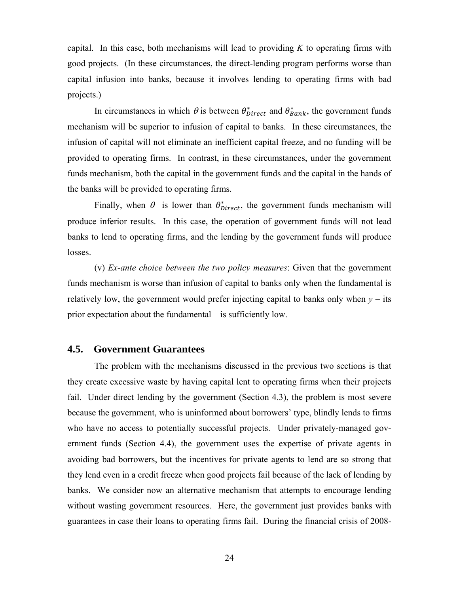capital. In this case, both mechanisms will lead to providing *K* to operating firms with good projects. (In these circumstances, the direct-lending program performs worse than capital infusion into banks, because it involves lending to operating firms with bad projects.)

In circumstances in which  $\theta$  is between  $\theta_{Direct}^*$  and  $\theta_{Bank}^*$ , the government funds mechanism will be superior to infusion of capital to banks. In these circumstances, the infusion of capital will not eliminate an inefficient capital freeze, and no funding will be provided to operating firms. In contrast, in these circumstances, under the government funds mechanism, both the capital in the government funds and the capital in the hands of the banks will be provided to operating firms.

Finally, when  $\theta$  is lower than  $\theta_{Direct}^*$ , the government funds mechanism will produce inferior results. In this case, the operation of government funds will not lead banks to lend to operating firms, and the lending by the government funds will produce losses.

(v) *Ex-ante choice between the two policy measures*: Given that the government funds mechanism is worse than infusion of capital to banks only when the fundamental is relatively low, the government would prefer injecting capital to banks only when  $y -$  its prior expectation about the fundamental – is sufficiently low.

#### **4.5. Government Guarantees**

The problem with the mechanisms discussed in the previous two sections is that they create excessive waste by having capital lent to operating firms when their projects fail. Under direct lending by the government (Section 4.3), the problem is most severe because the government, who is uninformed about borrowers' type, blindly lends to firms who have no access to potentially successful projects. Under privately-managed government funds (Section 4.4), the government uses the expertise of private agents in avoiding bad borrowers, but the incentives for private agents to lend are so strong that they lend even in a credit freeze when good projects fail because of the lack of lending by banks. We consider now an alternative mechanism that attempts to encourage lending without wasting government resources. Here, the government just provides banks with guarantees in case their loans to operating firms fail. During the financial crisis of 2008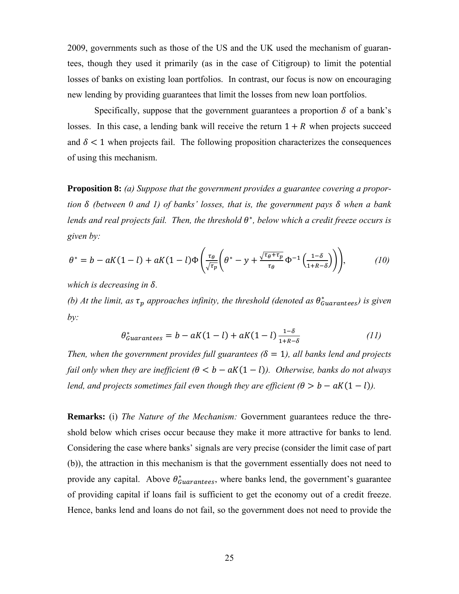2009, governments such as those of the US and the UK used the mechanism of guarantees, though they used it primarily (as in the case of Citigroup) to limit the potential losses of banks on existing loan portfolios. In contrast, our focus is now on encouraging new lending by providing guarantees that limit the losses from new loan portfolios.

Specifically, suppose that the government guarantees a proportion  $\delta$  of a bank's losses. In this case, a lending bank will receive the return  $1 + R$  when projects succeed and  $\delta$  < 1 when projects fail. The following proposition characterizes the consequences of using this mechanism.

**Proposition 8:** *(a) Suppose that the government provides a guarantee covering a proportion δ (between 0 and 1) of banks' losses, that is, the government pays δ when a bank lends and real projects fail. Then, the threshold* θ<sup>\*</sup>, below which a credit freeze occurs is *given by:* 

$$
\theta^* = b - aK(1-l) + aK(1-l)\Phi\left(\frac{\tau_\theta}{\sqrt{\tau_p}}\left(\theta^* - y + \frac{\sqrt{\tau_\theta + \tau_p}}{\tau_\theta}\Phi^{-1}\left(\frac{1-\delta}{1+R-\delta}\right)\right)\right),\tag{10}
$$

*which is decreasing in δ.* 

*(b)* At the limit, as  $\tau_p$  approaches infinity, the threshold (denoted as  $\theta_{\text{Guarantees}}^*$ ) is given *by:* 

$$
\theta_{Guarantees}^* = b - aK(1 - l) + aK(1 - l)\frac{1 - \delta}{1 + R - \delta} \tag{11}
$$

*Then, when the government provides full guarantees (* $\delta = 1$ *), all banks lend and projects fail only when they are inefficient*  $(\theta \leq b - aK(1 - l))$ . *Otherwise, banks do not always lend, and projects sometimes fail even though they are efficient*  $(\theta > b - aK(1-l))$ *.* 

**Remarks:** (i) *The Nature of the Mechanism:* Government guarantees reduce the threshold below which crises occur because they make it more attractive for banks to lend. Considering the case where banks' signals are very precise (consider the limit case of part (b)), the attraction in this mechanism is that the government essentially does not need to provide any capital. Above  $\theta_{Guarantees}^*$ , where banks lend, the government's guarantee of providing capital if loans fail is sufficient to get the economy out of a credit freeze. Hence, banks lend and loans do not fail, so the government does not need to provide the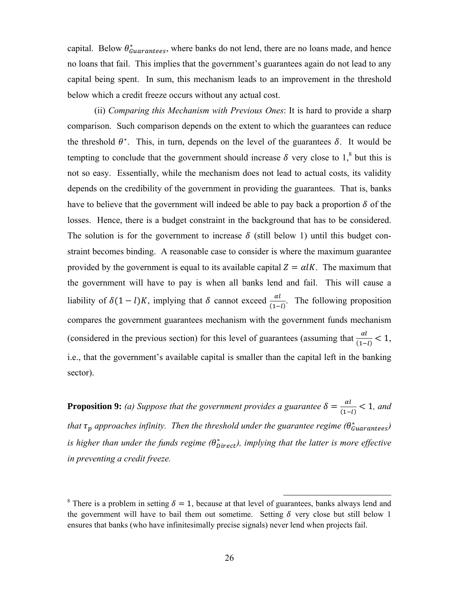capital. Below  $\theta_{Guarantees}^*$ , where banks do not lend, there are no loans made, and hence no loans that fail. This implies that the government's guarantees again do not lead to any capital being spent. In sum, this mechanism leads to an improvement in the threshold below which a credit freeze occurs without any actual cost.

 (ii) *Comparing this Mechanism with Previous Ones*: It is hard to provide a sharp comparison. Such comparison depends on the extent to which the guarantees can reduce the threshold  $\theta^*$ . This, in turn, depends on the level of the guarantees  $\delta$ . It would be tempting to conclude that the government should increase  $\delta$  very close to 1,<sup>8</sup> but this is not so easy. Essentially, while the mechanism does not lead to actual costs, its validity depends on the credibility of the government in providing the guarantees. That is, banks have to believe that the government will indeed be able to pay back a proportion  $\delta$  of the losses. Hence, there is a budget constraint in the background that has to be considered. The solution is for the government to increase  $\delta$  (still below 1) until this budget constraint becomes binding. A reasonable case to consider is where the maximum guarantee provided by the government is equal to its available capital  $Z = \alpha l K$ . The maximum that the government will have to pay is when all banks lend and fail. This will cause a liability of  $\delta(1-l)K$ , implying that  $\delta$  cannot exceed  $\frac{\alpha l}{(1-l)}$ . The following proposition compares the government guarantees mechanism with the government funds mechanism (considered in the previous section) for this level of guarantees (assuming that  $\frac{a}{(1-l)} < 1$ , i.e., that the government's available capital is smaller than the capital left in the banking sector).

**Proposition 9:** *(a) Suppose that the government provides a guarantee*  $\delta = \frac{\alpha l}{(1-l)} < 1$ *, and* that  $\tau_p$  approaches infinity. Then the threshold under the guarantee regime ( $\theta_{\text{Guarantees}}^*$ ) is higher than under the funds regime  $(\theta_{\text{Direct}}^*)$ , implying that the latter is more effective *in preventing a credit freeze.* 

<sup>&</sup>lt;sup>8</sup> There is a problem in setting  $\delta = 1$ , because at that level of guarantees, banks always lend and the government will have to bail them out sometime. Setting  $\delta$  very close but still below 1 ensures that banks (who have infinitesimally precise signals) never lend when projects fail.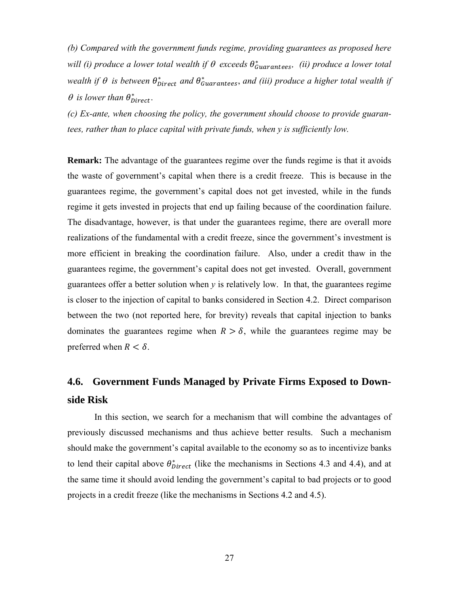*(b) Compared with the government funds regime, providing guarantees as proposed here will (i) produce a lower total wealth if*  $\theta$  *exceeds*  $\theta_{\text{Guarantees}}^*$ , *(ii) produce a lower total* wealth if  $\theta$  is between  $\theta_{\text{Direct}}^*$  and  $\theta_{\text{Guarantees}}^*$ , and (iii) produce a higher total wealth if  $\theta$  is lower than  $\theta_{\text{Direct}}^*$ .

*(c) Ex-ante, when choosing the policy, the government should choose to provide guarantees, rather than to place capital with private funds, when y is sufficiently low.* 

**Remark:** The advantage of the guarantees regime over the funds regime is that it avoids the waste of government's capital when there is a credit freeze. This is because in the guarantees regime, the government's capital does not get invested, while in the funds regime it gets invested in projects that end up failing because of the coordination failure. The disadvantage, however, is that under the guarantees regime, there are overall more realizations of the fundamental with a credit freeze, since the government's investment is more efficient in breaking the coordination failure. Also, under a credit thaw in the guarantees regime, the government's capital does not get invested. Overall, government guarantees offer a better solution when *y* is relatively low. In that, the guarantees regime is closer to the injection of capital to banks considered in Section 4.2. Direct comparison between the two (not reported here, for brevity) reveals that capital injection to banks dominates the guarantees regime when  $R > \delta$ , while the guarantees regime may be preferred when  $R < \delta$ .

# **4.6. Government Funds Managed by Private Firms Exposed to Downside Risk**

In this section, we search for a mechanism that will combine the advantages of previously discussed mechanisms and thus achieve better results. Such a mechanism should make the government's capital available to the economy so as to incentivize banks to lend their capital above  $\theta_{Direct}^*$  (like the mechanisms in Sections 4.3 and 4.4), and at the same time it should avoid lending the government's capital to bad projects or to good projects in a credit freeze (like the mechanisms in Sections 4.2 and 4.5).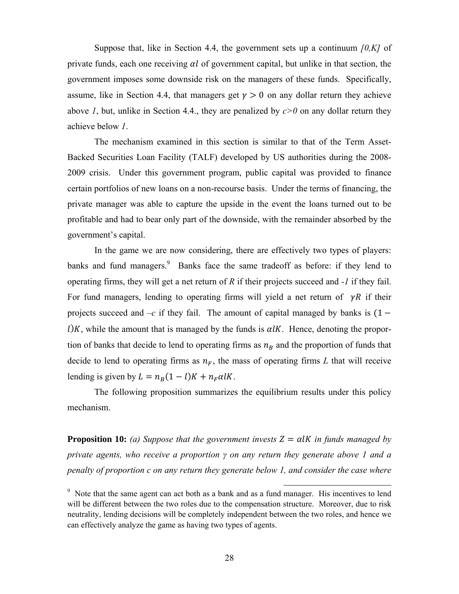Suppose that, like in Section 4.4, the government sets up a continuum *[0,K]* of private funds, each one receiving  $\alpha l$  of government capital, but unlike in that section, the government imposes some downside risk on the managers of these funds. Specifically, assume, like in Section 4.4, that managers get  $\gamma > 0$  on any dollar return they achieve above *1*, but, unlike in Section 4.4., they are penalized by  $c > 0$  on any dollar return they achieve below *1*.

The mechanism examined in this section is similar to that of the Term Asset-Backed Securities Loan Facility (TALF) developed by US authorities during the 2008- 2009 crisis. Under this government program, public capital was provided to finance certain portfolios of new loans on a non-recourse basis. Under the terms of financing, the private manager was able to capture the upside in the event the loans turned out to be profitable and had to bear only part of the downside, with the remainder absorbed by the government's capital.

In the game we are now considering, there are effectively two types of players: banks and fund managers.<sup>9</sup> Banks face the same tradeoff as before: if they lend to operating firms, they will get a net return of *R* if their projects succeed and *-1* if they fail. For fund managers, lending to operating firms will yield a net return of  $\gamma R$  if their projects succeed and  $-c$  if they fail. The amount of capital managed by banks is  $(1$  $l$ )K, while the amount that is managed by the funds is  $\alpha l$ K. Hence, denoting the proportion of banks that decide to lend to operating firms as  $n<sub>B</sub>$  and the proportion of funds that decide to lend to operating firms as  $n_F$ , the mass of operating firms *L* that will receive lending is given by  $L = n_B(1 - l)K + n_F \alpha lK$ .

The following proposition summarizes the equilibrium results under this policy mechanism.

**Proposition 10:** *(a) Suppose that the government invests*  $Z = \alpha K$  *in funds managed by private agents, who receive a proportion γ on any return they generate above 1 and a penalty of proportion c on any return they generate below 1, and consider the case where* 

<sup>&</sup>lt;sup>9</sup> Note that the same agent can act both as a bank and as a fund manager. His incentives to lend will be different between the two roles due to the compensation structure. Moreover, due to risk neutrality, lending decisions will be completely independent between the two roles, and hence we can effectively analyze the game as having two types of agents.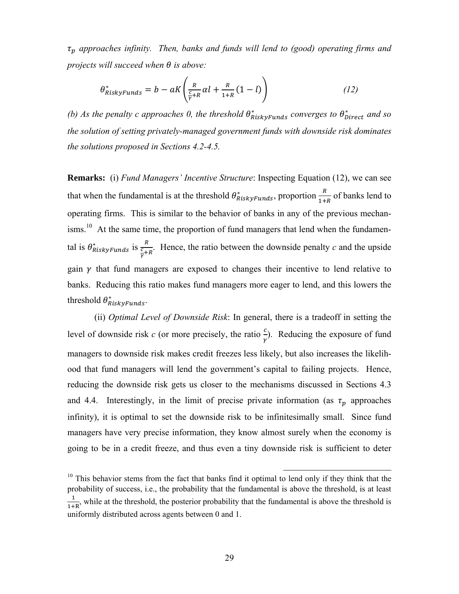$\tau_p$  approaches infinity. Then, banks and funds will lend to (good) operating firms and *projects will succeed when*  $\theta$  *is above:* 

$$
\theta_{RiskyFunds}^{*} = b - aK \left( \frac{R}{\frac{c}{\gamma} + R} \alpha l + \frac{R}{1 + R} (1 - l) \right) \tag{12}
$$

*(b)* As the penalty c approaches 0, the threshold  $\theta_{RiskyFunds}^{*}$  converges to  $\theta_{Direct}^{*}$  and so *the solution of setting privately-managed government funds with downside risk dominates the solutions proposed in Sections 4.2-4.5.* 

**Remarks:** (i) *Fund Managers' Incentive Structure*: Inspecting Equation (12), we can see that when the fundamental is at the threshold  $\theta_{RiskyFunds}^{*}$ , proportion  $\frac{R}{1+R}$  of banks lend to operating firms. This is similar to the behavior of banks in any of the previous mechanisms.<sup>10</sup> At the same time, the proportion of fund managers that lend when the fundamental is  $\theta_{RiskyFunds}^{*}$  is  $\frac{R}{\tilde{y}+R}$ . Hence, the ratio between the downside penalty *c* and the upside gain  $\gamma$  that fund managers are exposed to changes their incentive to lend relative to banks. Reducing this ratio makes fund managers more eager to lend, and this lowers the threshold  $\theta_{RiskyFunds}^*$ .

(ii) *Optimal Level of Downside Risk*: In general, there is a tradeoff in setting the level of downside risk *c* (or more precisely, the ratio  $\frac{c}{\gamma}$ ). Reducing the exposure of fund managers to downside risk makes credit freezes less likely, but also increases the likelihood that fund managers will lend the government's capital to failing projects. Hence, reducing the downside risk gets us closer to the mechanisms discussed in Sections 4.3 and 4.4. Interestingly, in the limit of precise private information (as  $\tau_n$  approaches infinity), it is optimal to set the downside risk to be infinitesimally small. Since fund managers have very precise information, they know almost surely when the economy is going to be in a credit freeze, and thus even a tiny downside risk is sufficient to deter

<sup>&</sup>lt;sup>10</sup> This behavior stems from the fact that banks find it optimal to lend only if they think that the probability of success, i.e., the probability that the fundamental is above the threshold, is at least  $\frac{1}{1+R}$ , while at the threshold, the posterior probability that the fundamental is above the threshold is uniformly distributed across agents between 0 and 1.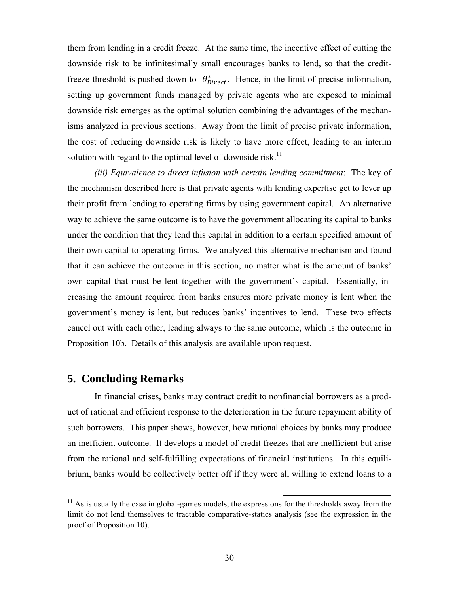them from lending in a credit freeze. At the same time, the incentive effect of cutting the downside risk to be infinitesimally small encourages banks to lend, so that the creditfreeze threshold is pushed down to  $\theta_{Direct}^*$ . Hence, in the limit of precise information, setting up government funds managed by private agents who are exposed to minimal downside risk emerges as the optimal solution combining the advantages of the mechanisms analyzed in previous sections. Away from the limit of precise private information, the cost of reducing downside risk is likely to have more effect, leading to an interim solution with regard to the optimal level of downside risk.<sup>11</sup>

*(iii) Equivalence to direct infusion with certain lending commitment*: The key of the mechanism described here is that private agents with lending expertise get to lever up their profit from lending to operating firms by using government capital. An alternative way to achieve the same outcome is to have the government allocating its capital to banks under the condition that they lend this capital in addition to a certain specified amount of their own capital to operating firms. We analyzed this alternative mechanism and found that it can achieve the outcome in this section, no matter what is the amount of banks' own capital that must be lent together with the government's capital. Essentially, increasing the amount required from banks ensures more private money is lent when the government's money is lent, but reduces banks' incentives to lend. These two effects cancel out with each other, leading always to the same outcome, which is the outcome in Proposition 10b. Details of this analysis are available upon request.

### **5. Concluding Remarks**

In financial crises, banks may contract credit to nonfinancial borrowers as a product of rational and efficient response to the deterioration in the future repayment ability of such borrowers. This paper shows, however, how rational choices by banks may produce an inefficient outcome. It develops a model of credit freezes that are inefficient but arise from the rational and self-fulfilling expectations of financial institutions. In this equilibrium, banks would be collectively better off if they were all willing to extend loans to a

 $11$  As is usually the case in global-games models, the expressions for the thresholds away from the limit do not lend themselves to tractable comparative-statics analysis (see the expression in the proof of Proposition 10).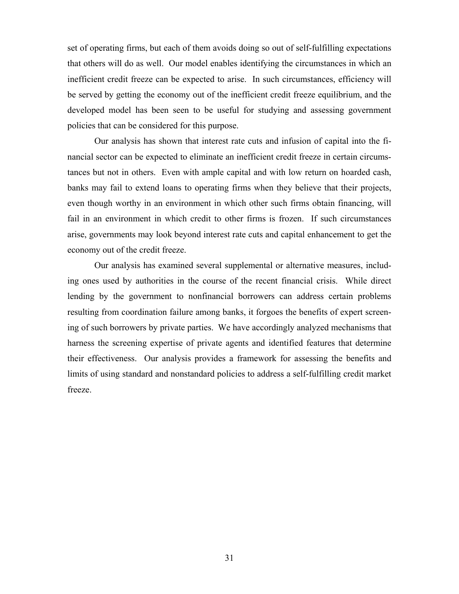set of operating firms, but each of them avoids doing so out of self-fulfilling expectations that others will do as well. Our model enables identifying the circumstances in which an inefficient credit freeze can be expected to arise. In such circumstances, efficiency will be served by getting the economy out of the inefficient credit freeze equilibrium, and the developed model has been seen to be useful for studying and assessing government policies that can be considered for this purpose.

Our analysis has shown that interest rate cuts and infusion of capital into the financial sector can be expected to eliminate an inefficient credit freeze in certain circumstances but not in others. Even with ample capital and with low return on hoarded cash, banks may fail to extend loans to operating firms when they believe that their projects, even though worthy in an environment in which other such firms obtain financing, will fail in an environment in which credit to other firms is frozen. If such circumstances arise, governments may look beyond interest rate cuts and capital enhancement to get the economy out of the credit freeze.

Our analysis has examined several supplemental or alternative measures, including ones used by authorities in the course of the recent financial crisis. While direct lending by the government to nonfinancial borrowers can address certain problems resulting from coordination failure among banks, it forgoes the benefits of expert screening of such borrowers by private parties. We have accordingly analyzed mechanisms that harness the screening expertise of private agents and identified features that determine their effectiveness. Our analysis provides a framework for assessing the benefits and limits of using standard and nonstandard policies to address a self-fulfilling credit market freeze.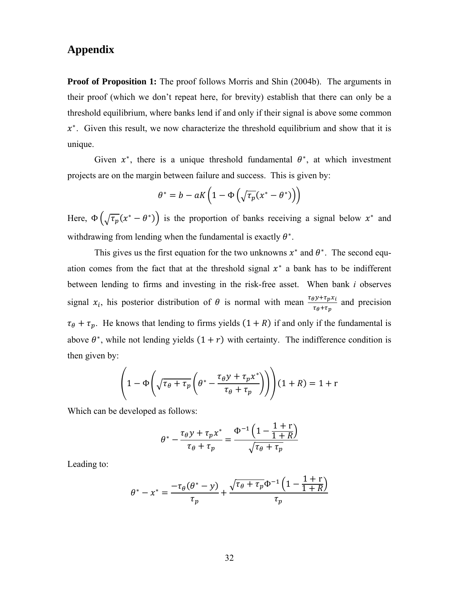# **Appendix**

**Proof of Proposition 1:** The proof follows Morris and Shin (2004b). The arguments in their proof (which we don't repeat here, for brevity) establish that there can only be a threshold equilibrium, where banks lend if and only if their signal is above some common  $x^*$ . Given this result, we now characterize the threshold equilibrium and show that it is unique.

Given  $x^*$ , there is a unique threshold fundamental  $\theta^*$ , at which investment projects are on the margin between failure and success. This is given by:

$$
\theta^* = b - aK \left( 1 - \Phi \left( \sqrt{\tau_p} (x^* - \theta^*) \right) \right)
$$

Here,  $\Phi\left(\sqrt{\tau_p}(x^* - \theta^*)\right)$  is the proportion of banks receiving a signal below  $x^*$  and withdrawing from lending when the fundamental is exactly  $\theta^*$ .

This gives us the first equation for the two unknowns  $x^*$  and  $\theta^*$ . The second equation comes from the fact that at the threshold signal  $x^*$  a bank has to be indifferent between lending to firms and investing in the risk-free asset. When bank *i* observes signal  $x_i$ , his posterior distribution of  $\theta$  is normal with mean  $\frac{\tau_{\theta}y+\tau_{p}x_i}{\tau_{\theta}+\tau_{p}}$  and precision  $\tau_{\theta} + \tau_{p}$ . He knows that lending to firms yields  $(1 + R)$  if and only if the fundamental is above  $\theta^*$ , while not lending yields  $(1 + r)$  with certainty. The indifference condition is then given by:

$$
\left(1 - \Phi\left(\sqrt{\tau_{\theta} + \tau_p} \left(\theta^* - \frac{\tau_{\theta} y + \tau_p x^*}{\tau_{\theta} + \tau_p}\right)\right)\right) (1 + R) = 1 + r
$$

Which can be developed as follows:

$$
\theta^* - \frac{\tau_{\theta} y + \tau_p x^*}{\tau_{\theta} + \tau_p} = \frac{\Phi^{-1} \left( 1 - \frac{1+r}{1+R} \right)}{\sqrt{\tau_{\theta} + \tau_p}}
$$

Leading to:

$$
\theta^* - x^* = \frac{-\tau_\theta(\theta^* - y)}{\tau_p} + \frac{\sqrt{\tau_\theta + \tau_p} \Phi^{-1} \left(1 - \frac{1 + r}{1 + R}\right)}{\tau_p}
$$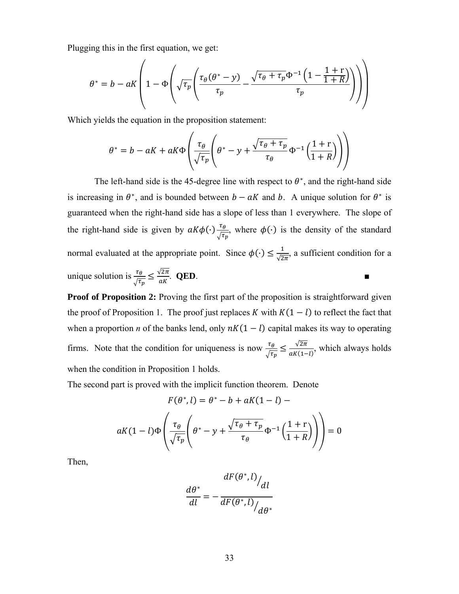Plugging this in the first equation, we get:

$$
\theta^* = b - aK \left( 1 - \Phi \left( \sqrt{\tau_p} \left( \frac{\tau_\theta(\theta^* - y)}{\tau_p} - \frac{\sqrt{\tau_\theta + \tau_p} \Phi^{-1} \left( 1 - \frac{1+r}{1+R} \right)}{\tau_p} \right) \right) \right)
$$

Which yields the equation in the proposition statement:

$$
\theta^* = b - aK + aK\Phi\left(\frac{\tau_\theta}{\sqrt{\tau_p}}\left(\theta^* - y + \frac{\sqrt{\tau_\theta + \tau_p}}{\tau_\theta}\Phi^{-1}\left(\frac{1+r}{1+R}\right)\right)\right)
$$

The left-hand side is the 45-degree line with respect to  $\theta^*$ , and the right-hand side is increasing in  $\theta^*$ , and is bounded between  $b - aK$  and b. A unique solution for  $\theta^*$  is guaranteed when the right-hand side has a slope of less than 1 everywhere. The slope of the right-hand side is given by  $aK\phi(\cdot)\frac{\tau_{\theta}}{\sqrt{\tau_p}}$ , where  $\phi(\cdot)$  is the density of the standard normal evaluated at the appropriate point. Since  $\phi(\cdot) \leq \frac{1}{\sqrt{2\pi}}$ , a sufficient condition for a unique solution is  $\frac{\tau_{\theta}}{\sqrt{\tau_n}} \leq \frac{\sqrt{2\pi}}{aK}$ . **QED**.  $\blacksquare$ 

**Proof of Proposition 2:** Proving the first part of the proposition is straightforward given the proof of Proposition 1. The proof just replaces K with  $K(1 - l)$  to reflect the fact that when a proportion *n* of the banks lend, only  $nK(1 - l)$  capital makes its way to operating firms. Note that the condition for uniqueness is now  $\frac{\tau_{\theta}}{\sqrt{\tau_n}} \leq \frac{\sqrt{2\pi}}{aK(1-l)}$ , which always holds when the condition in Proposition 1 holds.

The second part is proved with the implicit function theorem. Denote

$$
F(\theta^*, l) = \theta^* - b + aK(1 - l) -
$$

$$
aK(1-l)\Phi\left(\frac{\tau_{\theta}}{\sqrt{\tau_p}}\left(\theta^* - y + \frac{\sqrt{\tau_{\theta} + \tau_p}}{\tau_{\theta}}\Phi^{-1}\left(\frac{1+r}{1+R}\right)\right)\right) = 0
$$

Then,

$$
\frac{d\theta^*}{dl} = -\frac{dF(\theta^*,l)}{dF(\theta^*,l)}\Big/ \frac{dl}{d\theta^*}
$$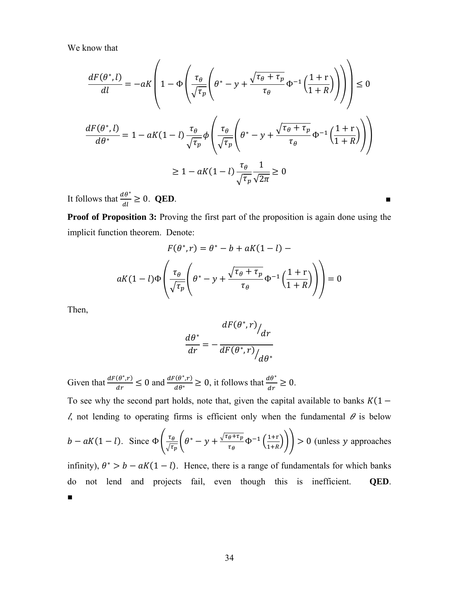We know that

$$
\frac{dF(\theta^*,l)}{dl} = -aK \left( 1 - \Phi \left( \frac{\tau_\theta}{\sqrt{\tau_p}} \left( \theta^* - y + \frac{\sqrt{\tau_\theta + \tau_p}}{\tau_\theta} \Phi^{-1} \left( \frac{1+r}{1+R} \right) \right) \right) \right) \le 0
$$
  

$$
\frac{dF(\theta^*,l)}{d\theta^*} = 1 - aK(1-l) \frac{\tau_\theta}{\sqrt{\tau_p}} \phi \left( \frac{\tau_\theta}{\sqrt{\tau_p}} \left( \theta^* - y + \frac{\sqrt{\tau_\theta + \tau_p}}{\tau_\theta} \Phi^{-1} \left( \frac{1+r}{1+R} \right) \right) \right)
$$

$$
\ge 1 - aK(1-l) \frac{\tau_\theta}{\sqrt{\tau_p}} \frac{1}{\sqrt{2\pi}} \ge 0
$$

It follows that  $\frac{d\theta^*}{dt} \geq 0$ . **QED**.

Proof of Proposition 3: Proving the first part of the proposition is again done using the implicit function theorem. Denote:

 $\blacksquare$ 

$$
F(\theta^*, r) = \theta^* - b + aK(1 - l) -
$$

$$
aK(1 - l)\Phi\left(\frac{\tau_\theta}{\sqrt{\tau_p}}\left(\theta^* - y + \frac{\sqrt{\tau_\theta + \tau_p}}{\tau_\theta}\Phi^{-1}\left(\frac{1+r}{1+R}\right)\right)\right) = 0
$$

Then,

$$
\frac{d\theta^*}{dr} = -\frac{dF(\theta^*, r)}{dF(\theta^*, r)} / \frac{dr}{d\theta^*}
$$

Given that  $\frac{dF(\theta^*,r)}{dr} \le 0$  and  $\frac{dF(\theta^*,r)}{d\theta^*} \ge 0$ , it follows that  $\frac{d\theta^*}{dr} \ge 0$ .

To see why the second part holds, note that, given the capital available to banks  $K(1 \ell$ , not lending to operating firms is efficient only when the fundamental  $\theta$  is below

$$
b - aK(1 - l). \text{ Since } \Phi\left(\frac{\tau_{\theta}}{\sqrt{\tau_p}}\left(\theta^* - y + \frac{\sqrt{\tau_{\theta} + \tau_p}}{\tau_{\theta}}\Phi^{-1}\left(\frac{1+r}{1+R}\right)\right)\right) > 0 \text{ (unless } y \text{ approaches}
$$

infinity),  $\theta^* > b - aK(1 - l)$ . Hence, there is a range of fundamentals for which banks do not lend and projects fail, even though this is inefficient. QED.  $\blacksquare$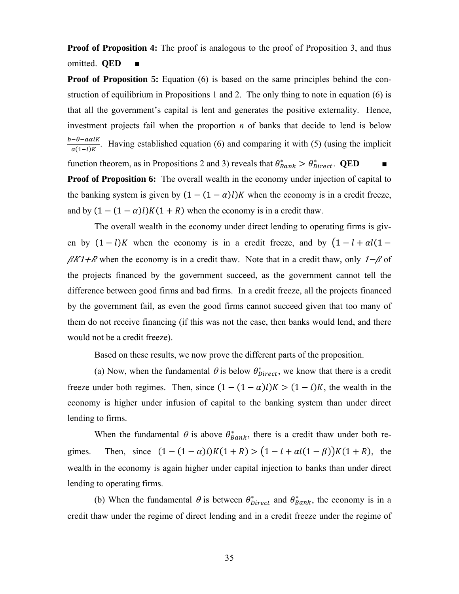**Proof of Proposition 4:** The proof is analogous to the proof of Proposition 3, and thus omitted. **QED** ■

**Proof of Proposition 5:** Equation (6) is based on the same principles behind the construction of equilibrium in Propositions 1 and 2. The only thing to note in equation (6) is that all the government's capital is lent and generates the positive externality. Hence, investment projects fail when the proportion *n* of banks that decide to lend is below  $\frac{b-\theta-a\alpha lK}{\alpha(1-l)K}$ . Having established equation (6) and comparing it with (5) (using the implicit function theorem, as in Propositions 2 and 3) reveals that  $\theta_{Bank}^* > \theta_{Direct}^*$ . **QED Proof of Proposition 6:** The overall wealth in the economy under injection of capital to the banking system is given by  $(1 - (1 - \alpha)l)K$  when the economy is in a credit freeze, and by  $(1 - (1 - \alpha)l)K(1 + R)$  when the economy is in a credit thaw.

The overall wealth in the economy under direct lending to operating firms is given by  $(1-l)K$  when the economy is in a credit freeze, and by  $(1-l + \alpha l(1 \beta K1 + R$  when the economy is in a credit thaw. Note that in a credit thaw, only  $1-\beta$  of the projects financed by the government succeed, as the government cannot tell the difference between good firms and bad firms. In a credit freeze, all the projects financed by the government fail, as even the good firms cannot succeed given that too many of them do not receive financing (if this was not the case, then banks would lend, and there would not be a credit freeze).

Based on these results, we now prove the different parts of the proposition.

(a) Now, when the fundamental  $\theta$  is below  $\theta_{Direct}^*$ , we know that there is a credit freeze under both regimes. Then, since  $(1 - (1 - \alpha)l)K > (1 - l)K$ , the wealth in the economy is higher under infusion of capital to the banking system than under direct lending to firms.

When the fundamental  $\theta$  is above  $\theta_{Bank}^*$ , there is a credit thaw under both regimes. Then, since  $(1 - (1 - \alpha)l)K(1 + R) > (1 - l + \alpha l(1 - \beta))K(1 + R)$ , the wealth in the economy is again higher under capital injection to banks than under direct lending to operating firms.

(b) When the fundamental  $\theta$  is between  $\theta_{Direct}^*$  and  $\theta_{Bank}^*$ , the economy is in a credit thaw under the regime of direct lending and in a credit freeze under the regime of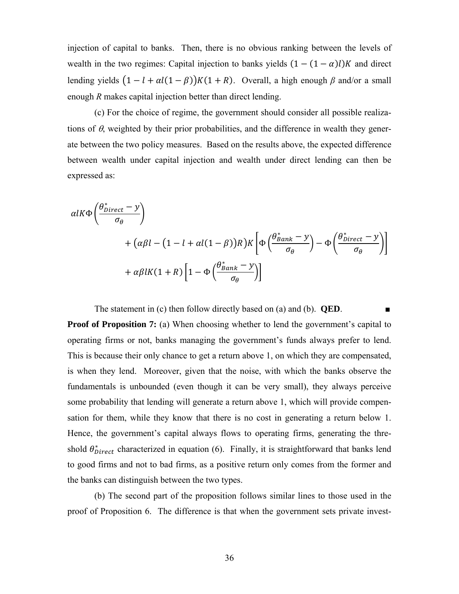injection of capital to banks. Then, there is no obvious ranking between the levels of wealth in the two regimes: Capital injection to banks yields  $(1 - (1 - \alpha)l)K$  and direct lending yields  $(1 - l + \alpha l(1 - \beta))K(1 + R)$ . Overall, a high enough  $\beta$  and/or a small enough *R* makes capital injection better than direct lending.

(c) For the choice of regime, the government should consider all possible realizations of  $\theta$ , weighted by their prior probabilities, and the difference in wealth they generate between the two policy measures. Based on the results above, the expected difference between wealth under capital injection and wealth under direct lending can then be expressed as:

$$
\alpha l K \Phi \left( \frac{\theta_{Direct}^* - y}{\sigma_{\theta}} \right)
$$
  
+  $\left( \alpha \beta l - (1 - l + \alpha l (1 - \beta)) R \right) K \left[ \Phi \left( \frac{\theta_{Bank}^* - y}{\sigma_{\theta}} \right) - \Phi \left( \frac{\theta_{Direct}^* - y}{\sigma_{\theta}} \right) \right]$   
+  $\alpha \beta l K (1 + R) \left[ 1 - \Phi \left( \frac{\theta_{Bank}^* - y}{\sigma_{\theta}} \right) \right]$ 

The statement in (c) then follow directly based on (a) and (b). **QED**. **Proof of Proposition 7:** (a) When choosing whether to lend the government's capital to operating firms or not, banks managing the government's funds always prefer to lend. This is because their only chance to get a return above 1, on which they are compensated, is when they lend. Moreover, given that the noise, with which the banks observe the fundamentals is unbounded (even though it can be very small), they always perceive some probability that lending will generate a return above 1, which will provide compensation for them, while they know that there is no cost in generating a return below 1. Hence, the government's capital always flows to operating firms, generating the threshold  $\theta_{Direct}^*$  characterized in equation (6). Finally, it is straightforward that banks lend to good firms and not to bad firms, as a positive return only comes from the former and the banks can distinguish between the two types.

(b) The second part of the proposition follows similar lines to those used in the proof of Proposition 6. The difference is that when the government sets private invest-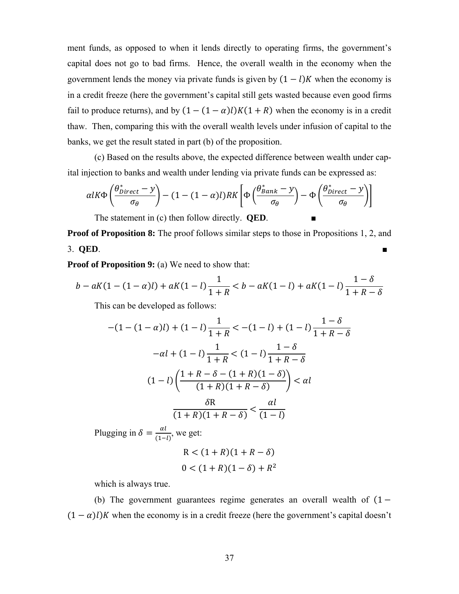ment funds, as opposed to when it lends directly to operating firms, the government's capital does not go to bad firms. Hence, the overall wealth in the economy when the government lends the money via private funds is given by  $(1 - l)K$  when the economy is in a credit freeze (here the government's capital still gets wasted because even good firms fail to produce returns), and by  $(1 - (1 - \alpha)l)K(1 + R)$  when the economy is in a credit thaw. Then, comparing this with the overall wealth levels under infusion of capital to the banks, we get the result stated in part (b) of the proposition.

(c) Based on the results above, the expected difference between wealth under capital injection to banks and wealth under lending via private funds can be expressed as:

$$
\alpha l K \Phi \left( \frac{\theta_{Direct}^* - y}{\sigma_{\theta}} \right) - (1 - (1 - \alpha) l) R K \left[ \Phi \left( \frac{\theta_{Bank}^* - y}{\sigma_{\theta}} \right) - \Phi \left( \frac{\theta_{Direct}^* - y}{\sigma_{\theta}} \right) \right]
$$

The statement in (c) then follow directly. **QED**.

**Proof of Proposition 8:** The proof follows similar steps to those in Propositions 1, 2, and 3. **OED.** 

**Proof of Proposition 9:** (a) We need to show that:

$$
b - aK(1 - (1 - \alpha)l) + aK(1 - l)\frac{1}{1 + R} < b - aK(1 - l) + aK(1 - l)\frac{1 - \delta}{1 + R - \delta}
$$

This can be developed as follows:

$$
-(1 - (1 - \alpha)l) + (1 - l)\frac{1}{1 + R} < -(1 - l) + (1 - l)\frac{1 - \delta}{1 + R - \delta}
$$
\n
$$
-\alpha l + (1 - l)\frac{1}{1 + R} < (1 - l)\frac{1 - \delta}{1 + R - \delta}
$$
\n
$$
(1 - l)\left(\frac{1 + R - \delta - (1 + R)(1 - \delta)}{(1 + R)(1 + R - \delta)}\right) < \alpha l
$$
\n
$$
\frac{\delta R}{(1 + R)(1 + R - \delta)} < \frac{\alpha l}{(1 - l)}
$$

Plugging in  $\delta = \frac{\alpha l}{(1-l)}$ , we get:

$$
R < (1 + R)(1 + R - \delta)
$$
\n
$$
0 < (1 + R)(1 - \delta) + R^2
$$

which is always true.

(b) The government guarantees regime generates an overall wealth of  $(1 (1 - \alpha)l$  K when the economy is in a credit freeze (here the government's capital doesn't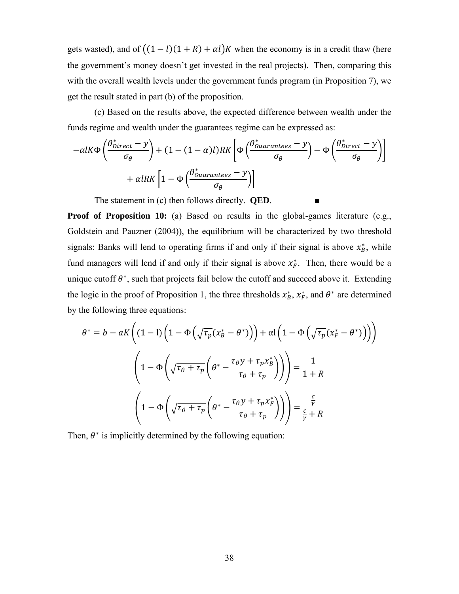gets wasted), and of  $((1 - l)(1 + R) + \alpha l)K$  when the economy is in a credit thaw (here the government's money doesn't get invested in the real projects). Then, comparing this with the overall wealth levels under the government funds program (in Proposition 7), we get the result stated in part (b) of the proposition.

(c) Based on the results above, the expected difference between wealth under the funds regime and wealth under the guarantees regime can be expressed as:

$$
- \alpha l K \Phi \left( \frac{\theta_{Direct}^* - y}{\sigma_{\theta}} \right) + (1 - (1 - \alpha) l) R K \left[ \Phi \left( \frac{\theta_{Guarantees}^* - y}{\sigma_{\theta}} \right) - \Phi \left( \frac{\theta_{Direct}^* - y}{\sigma_{\theta}} \right) \right]
$$

$$
+ \alpha l R K \left[ 1 - \Phi \left( \frac{\theta_{Guarantees}^* - y}{\sigma_{\theta}} \right) \right]
$$

The statement in (c) then follows directly. **QED**.

Proof of Proposition 10: (a) Based on results in the global-games literature (e.g., Goldstein and Pauzner (2004)), the equilibrium will be characterized by two threshold signals: Banks will lend to operating firms if and only if their signal is above  $x_B^*$ , while fund managers will lend if and only if their signal is above  $x_F^*$ . Then, there would be a unique cutoff  $\theta^*$ , such that projects fail below the cutoff and succeed above it. Extending the logic in the proof of Proposition 1, the three thresholds  $x_B^*$ ,  $x_F^*$ , and  $\theta^*$  are determined by the following three equations:

$$
\theta^* = b - aK \left( (1 - 1) \left( 1 - \Phi \left( \sqrt{\tau_p} (x_B^* - \theta^*) \right) \right) + \alpha I \left( 1 - \Phi \left( \sqrt{\tau_p} (x_F^* - \theta^*) \right) \right) \right)
$$

$$
\left( 1 - \Phi \left( \sqrt{\tau_\theta + \tau_p} \left( \theta^* - \frac{\tau_\theta y + \tau_p x_B^*}{\tau_\theta + \tau_p} \right) \right) \right) = \frac{1}{1 + R}
$$

$$
\left( 1 - \Phi \left( \sqrt{\tau_\theta + \tau_p} \left( \theta^* - \frac{\tau_\theta y + \tau_p x_P^*}{\tau_\theta + \tau_p} \right) \right) \right) = \frac{\frac{c}{\gamma}}{\frac{c}{\gamma} + R}
$$

Then,  $\theta^*$  is implicitly determined by the following equation: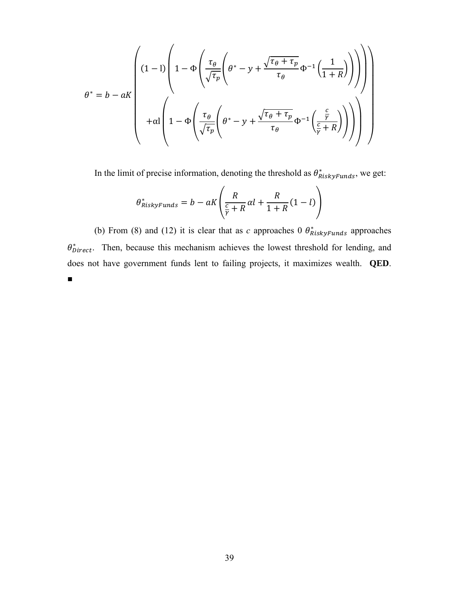$$
\theta^* = b - aK \left( (1 - 1) \left( 1 - \Phi \left( \frac{\tau_\theta}{\sqrt{\tau_p}} \left( \theta^* - y + \frac{\sqrt{\tau_\theta + \tau_p}}{\tau_\theta} \Phi^{-1} \left( \frac{1}{1 + R} \right) \right) \right) \right) + \alpha I \left( 1 - \Phi \left( \frac{\tau_\theta}{\sqrt{\tau_p}} \left( \theta^* - y + \frac{\sqrt{\tau_\theta + \tau_p}}{\tau_\theta} \Phi^{-1} \left( \frac{\frac{c}{\gamma}}{\frac{c}{\gamma} + R} \right) \right) \right) \right)
$$

In the limit of precise information, denoting the threshold as  $\theta_{RiskyFunds}^{*}$ , we get:

$$
\theta_{RiskyFunds}^{*} = b - aK \left( \frac{R}{\frac{c}{\gamma} + R} \alpha l + \frac{R}{1 + R} (1 - l) \right)
$$

(b) From (8) and (12) it is clear that as *c* approaches 0  $\theta_{RiskyFunds}^*$  approaches  $\theta_{Direct}^*$ . Then, because this mechanism achieves the lowest threshold for lending, and does not have government funds lent to failing projects, it maximizes wealth. **QED**. ■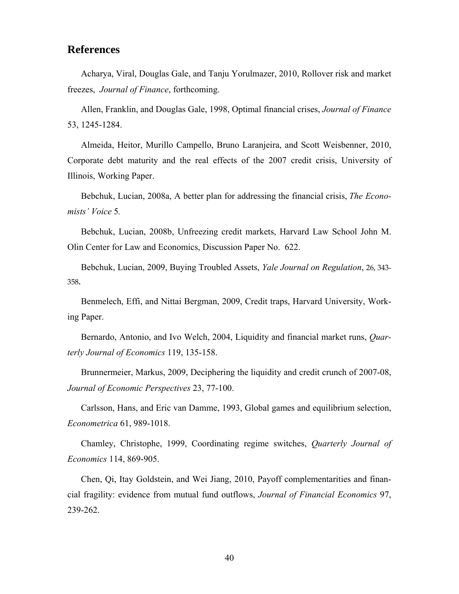## **References**

Acharya, Viral, Douglas Gale, and Tanju Yorulmazer, 2010, Rollover risk and market freezes, *Journal of Finance*, forthcoming.

Allen, Franklin, and Douglas Gale, 1998, Optimal financial crises, *Journal of Finance* 53, 1245-1284.

Almeida, Heitor, Murillo Campello, Bruno Laranjeira, and Scott Weisbenner, 2010, Corporate debt maturity and the real effects of the 2007 credit crisis, University of Illinois, Working Paper.

Bebchuk, Lucian, 2008a, A better plan for addressing the financial crisis, *The Economists' Voice* 5*.* 

Bebchuk, Lucian, 2008b, Unfreezing credit markets, Harvard Law School John M. Olin Center for Law and Economics, Discussion Paper No. 622.

Bebchuk, Lucian, 2009, Buying Troubled Assets, *Yale Journal on Regulation*, 26, 343- 358**.**

Benmelech, Effi, and Nittai Bergman, 2009, Credit traps, Harvard University, Working Paper.

Bernardo, Antonio, and Ivo Welch, 2004, Liquidity and financial market runs, *Quarterly Journal of Economics* 119, 135-158.

Brunnermeier, Markus, 2009, Deciphering the liquidity and credit crunch of 2007-08, *Journal of Economic Perspectives* 23, 77-100.

Carlsson, Hans, and Eric van Damme, 1993, Global games and equilibrium selection, *Econometrica* 61, 989-1018.

Chamley, Christophe, 1999, Coordinating regime switches, *Quarterly Journal of Economics* 114, 869-905.

Chen, Qi, Itay Goldstein, and Wei Jiang, 2010, Payoff complementarities and financial fragility: evidence from mutual fund outflows, *Journal of Financial Economics* 97, 239-262.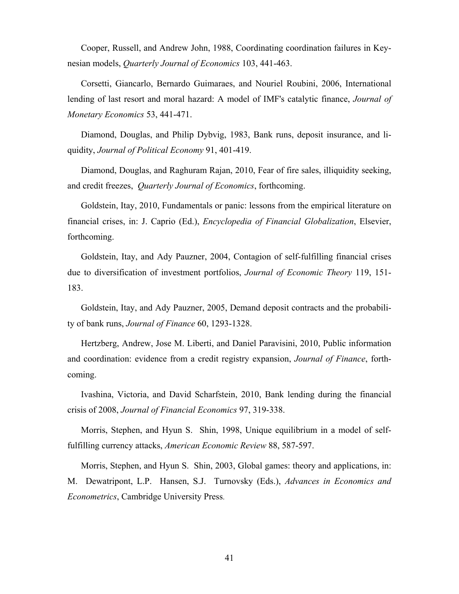Cooper, Russell, and Andrew John, 1988, Coordinating coordination failures in Keynesian models, *Quarterly Journal of Economics* 103, 441-463.

Corsetti, Giancarlo, Bernardo Guimaraes, and Nouriel Roubini, 2006, International lending of last resort and moral hazard: A model of IMF's catalytic finance, *Journal of Monetary Economics* 53, 441-471.

Diamond, Douglas, and Philip Dybvig, 1983, Bank runs, deposit insurance, and liquidity, *Journal of Political Economy* 91, 401-419.

Diamond, Douglas, and Raghuram Rajan, 2010, Fear of fire sales, illiquidity seeking, and credit freezes, *Quarterly Journal of Economics*, forthcoming.

Goldstein, Itay, 2010, Fundamentals or panic: lessons from the empirical literature on financial crises, in: J. Caprio (Ed.), *Encyclopedia of Financial Globalization*, Elsevier, forthcoming.

Goldstein, Itay, and Ady Pauzner, 2004, Contagion of self-fulfilling financial crises due to diversification of investment portfolios, *Journal of Economic Theory* 119, 151- 183.

Goldstein, Itay, and Ady Pauzner, 2005, Demand deposit contracts and the probability of bank runs, *Journal of Finance* 60, 1293-1328.

Hertzberg, Andrew, Jose M. Liberti, and Daniel Paravisini, 2010, Public information and coordination: evidence from a credit registry expansion, *Journal of Finance*, forthcoming.

Ivashina, Victoria, and David Scharfstein, 2010, Bank lending during the financial crisis of 2008, *Journal of Financial Economics* 97, 319-338.

Morris, Stephen, and Hyun S. Shin, 1998, Unique equilibrium in a model of selffulfilling currency attacks, *American Economic Review* 88, 587-597.

Morris, Stephen, and Hyun S. Shin, 2003, Global games: theory and applications, in: M. Dewatripont, L.P. Hansen, S.J. Turnovsky (Eds.), *Advances in Economics and Econometrics*, Cambridge University Press.